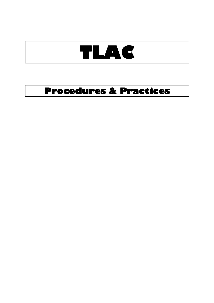# **TLAC**

# **Procedures & Practices**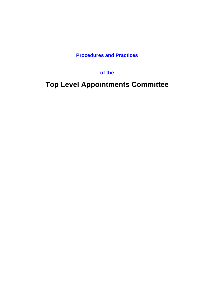**Procedures and Practices** 

**of the**

**Top Level Appointments Committee**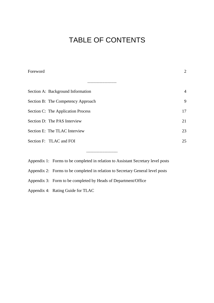# TABLE OF CONTENTS

| Foreword                                                                         | $\overline{2}$ |
|----------------------------------------------------------------------------------|----------------|
|                                                                                  |                |
| Section A: Background Information                                                | $\overline{4}$ |
| Section B: The Competency Approach                                               | 9              |
| Section C: The Application Process                                               | 17             |
| Section D: The PAS Interview                                                     | 21             |
| Section E: The TLAC Interview                                                    | 23             |
| Section F: TLAC and FOI                                                          | 25             |
|                                                                                  |                |
| Appendix 1: Forms to be completed in relation to Assistant Secretary level posts |                |
| Appendix 2: Forms to be completed in relation to Secretary General level posts   |                |

Appendix 3: Form to be completed by Heads of Department/Office

Appendix 4: Rating Guide for TLAC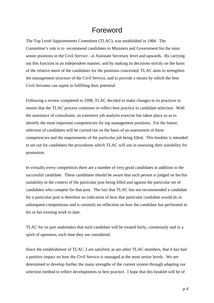### Foreword

The Top Level Appointments Committee (TLAC), was established in 1984. The Committee's role is to recommend candidates to Ministers and Government for the most senior positions in the Civil Service - at Assistant Secretary level and upwards. By carrying out this function in an independent manner, and by making its decisions strictly on the basis of the relative merit of the candidates for the positions concerned, TLAC aims to strengthen the management structure of the Civil Service, and to provide a means by which the best Civil Servants can aspire to fulfilling their potential.

Following a review completed in 1998, TLAC decided to make changes to its practices to ensure that the TLAC process continues to reflect best practice in candidate selection. With the assistance of consultants, an extensive job analysis exercise has taken place so as to identify the most important competencies for top management positions. For the future, selection of candidates will be carried out on the basis of an assessment of these competencies and the requirements of the particular job being filled. This booklet is intended to set out for candidates the procedures which TLAC will use in assessing their suitability for promotion.

In virtually every competition there are a number of very good candidates in addition to the successful candidate. These candidates should be aware that each person is judged on her/his suitability in the context of the particular post being filled and against the particular set of candidates who compete for that post. The fact that TLAC has not recommended a candidate for a particular post is therefore no indication of how that particular candidate would do in subsequent competitions and is certainly no reflection on how the candidate has performed in his or her existing work to date.

TLAC for its part undertakes that each candidate will be treated fairly, courteously and in a spirit of openness, each time they are considered.

Since the establishment of TLAC, I am satisfied, as are other TLAC members, that it has had a positive impact on how the Civil Service is managed at the most senior levels. We are determined to develop further the many strengths of the current system through adapting our selection method to reflect developments in best practice. I hope that this booklet will be of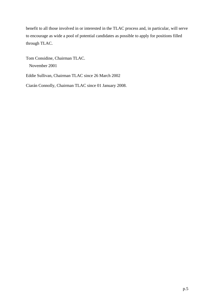benefit to all those involved in or interested in the TLAC process and, in particular, will serve to encourage as wide a pool of potential candidates as possible to apply for positions filled through TLAC.

Tom Considine, Chairman TLAC.

November 2001

Eddie Sullivan, Chairman TLAC since 26 March 2002

Ciarán Connolly, Chairman TLAC since 01 January 2008.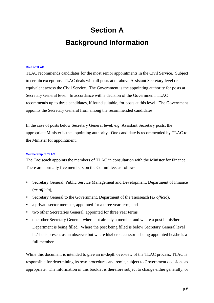# **Section A Background Information**

#### **Role of TLAC**

TLAC recommends candidates for the most senior appointments in the Civil Service. Subject to certain exceptions, TLAC deals with all posts at or above Assistant Secretary level or equivalent across the Civil Service. The Government is the appointing authority for posts at Secretary General level. In accordance with a decision of the Government, TLAC recommends up to three candidates, if found suitable, for posts at this level. The Government appoints the Secretary General from among the recommended candidates.

In the case of posts below Secretary General level, e.g. Assistant Secretary posts, the appropriate Minister is the appointing authority. One candidate is recommended by TLAC to the Minister for appointment.

#### **Membership of TLAC**

The Taoiseach appoints the members of TLAC in consultation with the Minister for Finance. There are normally five members on the Committee, as follows:-

- Secretary General, Public Service Management and Development, Department of Finance (*ex officio*),
- y Secretary General to the Government, Department of the Taoiseach (*ex officio*),
- a private sector member, appointed for a three year term, and
- two other Secretaries General, appointed for three year terms
- one other Secretary General, where not already a member and where a post in his/her Department is being filled. Where the post being filled is below Secretary General level he/she is present as an observer but where his/her successor is being appointed he/she is a full member.

While this document is intended to give an in-depth overview of the TLAC process, TLAC is responsible for determining its own procedures and remit, subject to Government decisions as appropriate. The information in this booklet is therefore subject to change either generally, or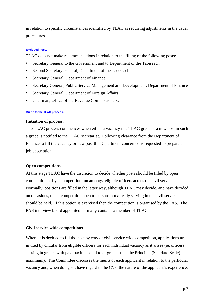in relation to specific circumstances identified by TLAC as requiring adjustments in the usual procedures.

#### **Excluded Posts**

TLAC does not make recommendations in relation to the filling of the following posts:

- Secretary General to the Government and to Department of the Taoiseach
- Second Secretary General, Department of the Taoiseach
- Secretary General, Department of Finance
- Secretary General, Public Service Management and Development, Department of Finance
- Secretary General, Department of Foreign Affairs
- Chairman, Office of the Revenue Commissioners.

#### **Guide to the TLAC process.**

#### **Initiation of process.**

The TLAC process commences when either a vacancy in a TLAC grade or a new post in such a grade is notified to the TLAC secretariat. Following clearance from the Department of Finance to fill the vacancy or new post the Department concerned is requested to prepare a job description.

#### **Open competitions.**

At this stage TLAC have the discretion to decide whether posts should be filled by open competition or by a competition run amongst eligible officers across the civil service. Normally, positions are filled in the latter way, although TLAC may decide, and have decided on occasions, that a competition open to persons not already serving in the civil service should be held. If this option is exercised then the competition is organised by the PAS. The PAS interview board appointed normally contains a member of TLAC.

#### **Civil service wide competitions**

Where it is decided to fill the post by way of civil service wide competition, applications are invited by circular from eligible officers for each individual vacancy as it arises (ie. officers serving in grades with pay maxima equal to or greater than the Principal (Standard Scale) maximum). The Committee discusses the merits of each applicant in relation to the particular vacancy and, when doing so, have regard to the CVs, the nature of the applicant's experience,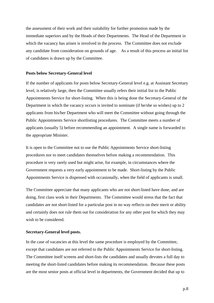the assessment of their work and their suitability for further promotion made by the immediate superiors and by the Heads of their Departments. The Head of the Department in which the vacancy has arisen is involved in the process. The Committee does not exclude any candidate from consideration on grounds of age. As a result of this process an initial list of candidates is drawn up by the Committee.

#### **Posts below Secretary-General level**

If the number of applicants for posts below Secretary-General level e.g. at Assistant Secretary level, is relatively large, then the Committee usually refers their initial list to the Public Appointments Service for short-listing. When this is being done the Secretary-General of the Department in which the vacancy occurs is invited to nominate (if he/she so wishes) up to 2 applicants from his/her Department who will meet the Committee without going through the Public Appointments Service shortlisting procedures. The Committee meets a number of applicants (usually 5) before recommending an appointment. A single name is forwarded to the appropriate Minister.

It is open to the Committee not to use the Public Appointments Service short-listing procedures nor to meet candidates themselves before making a recommendation. This procedure is very rarely used but might arise, for example, in circumstances where the Government requests a very early appointment to be made. Short-listing by the Public Appointments Service is dispensed with occasionally, when the field of applicants is small.

The Committee appreciate that many applicants who are not short-listed have done, and are doing, first class work in their Departments. The Committee would stress that the fact that candidates are not short-listed for a particular post in no way reflects on their merit or ability and certainly does not rule them out for consideration for any other post for which they may wish to be considered.

#### **Secretary-General level posts.**

In the case of vacancies at this level the same procedure is employed by the Committee, except that candidates are not referred to the Public Appointments Service for short-listing. The Committee itself screens and short-lists the candidates and usually devotes a full day to meeting the short-listed candidates before making its recommendation. Because these posts are the most senior posts at official level in departments, the Government decided that up to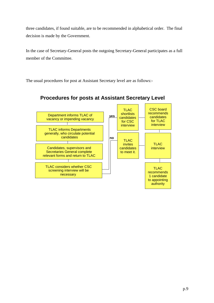three candidates, if found suitable, are to be recommended in alphabetical order. The final decision is made by the Government.

In the case of Secretary-General posts the outgoing Secretary-General participates as a full member of the Committee.

The usual procedures for post at Assistant Secretary level are as follows:-



#### **Procedures for posts at Assistant Secretary Level**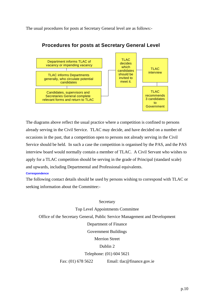The usual procedures for posts at Secretary General level are as follows:-



#### **Procedures for posts at Secretary General Level**

The diagrams above reflect the usual practice where a competition is confined to persons already serving in the Civil Service. TLAC may decide, and have decided on a number of occasions in the past, that a competition open to persons not already serving in the Civil Service should be held. In such a case the competition is organised by the PAS, and the PAS interview board would normally contain a member of TLAC. A Civil Servant who wishes to apply for a TLAC competition should be serving in the grade of Principal (standard scale) and upwards, including Departmental and Professional equivalents.

#### **Correspondence**

The following contact details should be used by persons wishing to correspond with TLAC or seeking information about the Committee:-

#### Secretary

Top Level Appointments Committee

Office of the Secretary General, Public Service Management and Development

#### Department of Finance

Government Buildings

Merrion Street

#### Dublin 2

Telephone: (01) 604 5621

Fax: (01) 678 5622 Email: tlac@finance.gov.ie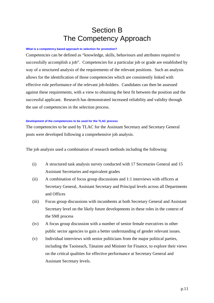### Section B The Competency Approach

#### **What is a competency based approach to selection for promotion?**

Competencies can be defined as "knowledge, skills, behaviours and attributes required to successfully accomplish a job". Competencies for a particular job or grade are established by way of a structured analysis of the requirements of the relevant positions. Such an analysis allows for the identification of those competencies which are consistently linked with effective role performance of the relevant job-holders. Candidates can then be assessed against these requirements, with a view to obtaining the best fit between the position and the successful applicant. Research has demonstrated increased reliability and validity through the use of competencies in the selection process.

#### **Development of the competencies to be used for the TLAC process**

The competencies to be used by TLAC for the Assistant Secretary and Secretary General posts were developed following a comprehensive job analysis.

The job analysis used a combination of research methods including the following:

- (i) A structured task analysis survey conducted with 17 Secretaries General and 15 Assistant Secretaries and equivalent grades
- (ii) A combination of focus group discussions and 1:1 interviews with officers at Secretary General, Assistant Secretary and Principal levels across all Departments and Offices
- (iii) Focus group discussions with incumbents at both Secretary General and Assistant Secretary level on the likely future developments in these roles in the context of the SMI process
- (iv) A focus group discussion with a number of senior female executives in other public sector agencies to gain a better understanding of gender relevant issues.
- (v) Individual interviews with senior politicians from the major political parties, including the Taoiseach, Tánaiste and Minister for Finance, to explore their views on the critical qualities for effective performance at Secretary General and Assistant Secretary levels.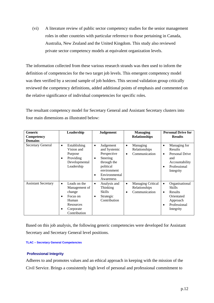(vi) A literature review of public sector competency studies for the senior management roles in other countries with particular reference to those pertaining in Canada, Australia, New Zealand and the United Kingdom. This study also reviewed private sector competency models at equivalent organization levels.

The information collected from these various research strands was then used to inform the definition of competencies for the two target job levels. This emergent competency model was then verified by a second sample of job holders. This second validation group critically reviewed the competency definitions, added additional points of emphasis and commented on the relative significance of individual competencies for specific roles.

The resultant competency model for Secretary General and Assistant Secretary clusters into four main dimensions as illustrated below:

| <b>Generic</b><br>Competency<br><b>Domains</b> | Leadership                                                                                                                            | <b>Judgement</b>                                                                                                                                             | <b>Managing</b><br><b>Relationships</b>                                 | <b>Personal Drive for</b><br><b>Results</b>                                                                                        |
|------------------------------------------------|---------------------------------------------------------------------------------------------------------------------------------------|--------------------------------------------------------------------------------------------------------------------------------------------------------------|-------------------------------------------------------------------------|------------------------------------------------------------------------------------------------------------------------------------|
| <b>Secretary General</b>                       | Establishing<br>$\bullet$<br>Vision and<br>Purpose<br>Providing<br>$\bullet$<br>Developmental<br>Leadership                           | Judgement<br>$\bullet$<br>and Systemic<br>Perspective<br>Steering<br>٠<br>through the<br>political<br>environment<br>Environmental<br>$\bullet$<br>Awareness | Managing<br>$\bullet$<br>Relationships<br>Communication<br>$\bullet$    | Managing for<br>٠<br><b>Results</b><br>Personal Drive<br>and<br>Accountability<br>Professional<br>٠<br>Integrity                   |
| <b>Assistant Secretary</b>                     | Leads on the<br>$\bullet$<br>Management of<br>change<br>Focus on<br>$\bullet$<br>Human<br>Resources<br>Corporate<br>٠<br>Contribution | Analysis and<br>$\bullet$<br>Thinking<br><b>Skills</b><br>Strategic<br>٠<br>Contribution                                                                     | <b>Managing Critical</b><br>$\bullet$<br>Relationships<br>Communication | Organisational<br>$\bullet$<br><b>Skills</b><br><b>Results</b><br>$\bullet$<br>Orientated<br>Approach<br>Professional<br>Integrity |

Based on this job analysis, the following generic competencies were developed for Assistant Secretary and Secretary General level positions.

#### **TLAC – Secretary General Competencies**

#### **Professional Integrity**

Adheres to and promotes values and an ethical approach in keeping with the mission of the Civil Service. Brings a consistently high level of personal and professional commitment to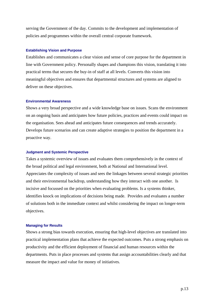serving the Government of the day. Commits to the development and implementation of policies and programmes within the overall central corporate framework.

#### **Establishing Vision and Purpose**

Establishes and communicates a clear vision and sense of core purpose for the department in line with Government policy. Personally shapes and champions this vision, translating it into practical terms that secures the buy-in of staff at all levels. Converts this vision into meaningful objectives and ensures that departmental structures and systems are aligned to deliver on these objectives.

#### **Environmental Awareness**

Shows a very broad perspective and a wide knowledge base on issues. Scans the environment on an ongoing basis and anticipates how future policies, practices and events could impact on the organisation. Sees ahead and anticipates future consequences and trends accurately. Develops future scenarios and can create adaptive strategies to position the department in a proactive way.

#### **Judgment and Systemic Perspective**

Takes a systemic overview of issues and evaluates them comprehensively in the context of the broad political and legal environment, both at National and International level. Appreciates the complexity of issues and sees the linkages between several strategic priorities and their environmental backdrop, understanding how they interact with one another. Is incisive and focussed on the priorities when evaluating problems. Is a systems thinker, identifies knock on implications of decisions being made. Provides and evaluates a number of solutions both in the immediate context and whilst considering the impact on longer-term objectives.

#### **Managing for Results**

Shows a strong bias towards execution, ensuring that high-level objectives are translated into practical implementation plans that achieve the expected outcomes. Puts a strong emphasis on productivity and the efficient deployment of financial and human resources within the departments. Puts in place processes and systems that assign accountabilities clearly and that measure the impact and value for money of initiatives.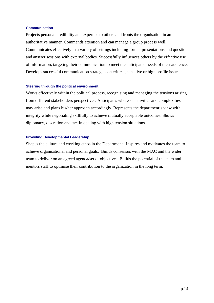#### **Communication**

Projects personal credibility and expertise to others and fronts the organisation in an authoritative manner. Commands attention and can manage a group process well. Communicates effectively in a variety of settings including formal presentations and question and answer sessions with external bodies. Successfully influences others by the effective use of information, targeting their communication to meet the anticipated needs of their audience. Develops successful communication strategies on critical, sensitive or high profile issues.

#### **Steering through the political environment**

Works effectively within the political process, recognising and managing the tensions arising from different stakeholders perspectives. Anticipates where sensitivities and complexities may arise and plans his/her approach accordingly. Represents the department's view with integrity while negotiating skillfully to achieve mutually acceptable outcomes. Shows diplomacy, discretion and tact in dealing with high tension situations.

#### **Providing Developmental Leadership**

Shapes the culture and working ethos in the Department. Inspires and motivates the team to achieve organisational and personal goals. Builds consensus with the MAC and the wider team to deliver on an agreed agenda/set of objectives. Builds the potential of the team and mentors staff to optimise their contribution to the organization in the long term.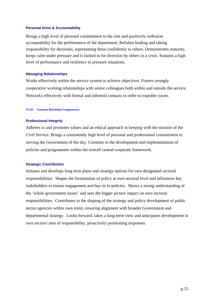#### **Personal Drive & Accountability**

Brings a high level of personal commitment to the role and positively embraces accountability for the performance of the department. Relishes leading and taking responsibility for decisions, representing these confidently to others. Demonstrates maturity, keeps calm under pressure and is looked to for direction by others in a crisis. Sustains a high level of performance and resilience in pressure situations.

#### **Managing Relationships**

Works effectively within the service system to achieve objectives. Fosters strongly cooperative working relationships with senior colleagues both within and outside the service. Networks effectively with formal and informal contacts in order to expedite issues.

#### **TLAC – Assistant Secretary Competencies**

#### **Professional Integrity**

Adheres to and promotes values and an ethical approach in keeping with the mission of the Civil Service. Brings a consistently high level of personal and professional commitment to serving the Government of the day. Commits to the development and implementation of policies and programmes within the overall central corporate framework.

#### **Strategic Contribution**

Initiates and develops long term plans and strategy options for own designated sectoral responsibilities. Shapes the formulation of policy at own sectoral level and influences key stakeholders to ensure engagement and buy-in to policies. Shows a strong understanding of the 'whole government issues' and sees the bigger picture impact on own sectoral responsibilities. Contributes to the shaping of the strategy and policy development of public sector agencies within own remit, ensuring alignment with broader Government and departmental strategy. Looks forward, takes a long-term view and anticipates development in own sectors/ area of responsibility, proactively positioning responses.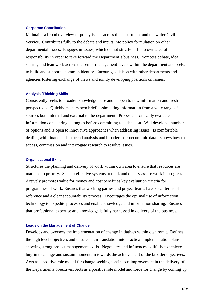#### **Corporate Contribution**

Maintains a broad overview of policy issues across the department and the wider Civil Service. Contributes fully to the debate and inputs into policy formulation on other departmental issues. Engages in issues, which do not strictly fall into own area of responsibility in order to take forward the Department's business. Promotes debate, idea sharing and teamwork across the senior management levels within the department and seeks to build and support a common identity. Encourages liaison with other departments and agencies fostering exchange of views and jointly developing positions on issues.

#### **Analysis /Thinking Skills**

Consistently seeks to broaden knowledge base and is open to new information and fresh perspectives. Quickly masters own brief, assimilating information from a wide range of sources both internal and external to the department. Probes and critically evaluates information considering all angles before committing to a decision. Will develop a number of options and is open to innovative approaches when addressing issues. Is comfortable dealing with financial data, trend analysis and broader macroeconomic data. Knows how to access, commission and interrogate research to resolve issues.

#### **Organisational Skills**

Structures the planning and delivery of work within own area to ensure that resources are matched to priority. Sets up effective systems to track and quality assure work in progress. Actively promotes value for money and cost benefit as key evaluation criteria for programmes of work. Ensures that working parties and project teams have clear terms of reference and a clear accountability process. Encourages the optimal use of information technology to expedite processes and enable knowledge and information sharing. Ensures that professional expertise and knowledge is fully harnessed in delivery of the business.

#### **Leads on the Management of Change**

Develops and oversees the implementation of change initiatives within own remit. Defines the high level objectives and ensures their translation into practical implementation plans showing strong project management skills. Negotiates and influences skillfully to achieve buy-in to change and sustain momentum towards the achievement of the broader objectives. Acts as a positive role model for change seeking continuous improvement in the delivery of the Departments objectives. Acts as a positive role model and force for change by coming up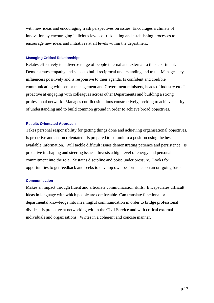with new ideas and encouraging fresh perspectives on issues. Encourages a climate of innovation by encouraging judicious levels of risk taking and establishing processes to encourage new ideas and initiatives at all levels within the department.

#### **Managing Critical Relationships**

Relates effectively to a diverse range of people internal and external to the department. Demonstrates empathy and seeks to build reciprocal understanding and trust. Manages key influencers positively and is responsive to their agenda. Is confident and credible communicating with senior management and Government ministers, heads of industry etc. Is proactive at engaging with colleagues across other Departments and building a strong professional network. Manages conflict situations constructively, seeking to achieve clarity of understanding and to build common ground in order to achieve broad objectives.

#### **Results Orientated Approach**

Takes personal responsibility for getting things done and achieving organisational objectives. Is proactive and action orientated. Is prepared to commit to a position using the best available information. Will tackle difficult issues demonstrating patience and persistence. Is proactive in shaping and steering issues. Invests a high level of energy and personal commitment into the role. Sustains discipline and poise under pressure. Looks for opportunities to get feedback and seeks to develop own performance on an on-going basis.

#### **Communication**

Makes an impact through fluent and articulate communication skills. Encapsulates difficult ideas in language with which people are comfortable. Can translate functional or departmental knowledge into meaningful communication in order to bridge professional divides. Is proactive at networking within the Civil Service and with critical external individuals and organisations. Writes in a coherent and concise manner.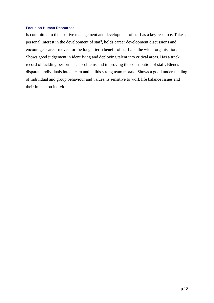#### **Focus on Human Resources**

Is committed to the positive management and development of staff as a key resource. Takes a personal interest in the development of staff, holds career development discussions and encourages career moves for the longer term benefit of staff and the wider organisation. Shows good judgement in identifying and deploying talent into critical areas. Has a track record of tackling performance problems and improving the contribution of staff. Blends disparate individuals into a team and builds strong team morale. Shows a good understanding of individual and group behaviour and values. Is sensitive to work life balance issues and their impact on individuals.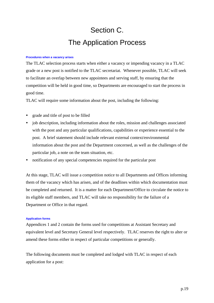# Section C. The Application Process

#### **Procedures when a vacancy arises**

The TLAC selection process starts when either a vacancy or impending vacancy in a TLAC grade or a new post is notified to the TLAC secretariat. Whenever possible, TLAC will seek to facilitate an overlap between new appointees and serving staff, by ensuring that the competition will be held in good time, so Departments are encouraged to start the process in good time.

TLAC will require some information about the post, including the following:

- grade and title of post to be filled
- job description, including information about the roles, mission and challenges associated with the post and any particular qualifications, capabilities or experience essential to the post. A brief statement should include relevant external context/environmental information about the post and the Department concerned, as well as the challenges of the particular job, a note on the team situation, etc.
- notification of any special competencies required for the particular post

At this stage, TLAC will issue a competition notice to all Departments and Offices informing them of the vacancy which has arisen, and of the deadlines within which documentation must be completed and returned. It is a matter for each Department/Office to circulate the notice to its eligible staff members, and TLAC will take no responsibility for the failure of a Department or Office in that regard.

#### **Application forms**

Appendices 1 and 2 contain the forms used for competitions at Assistant Secretary and equivalent level and Secretary General level respectively. TLAC reserves the right to alter or amend these forms either in respect of particular competitions or generally.

The following documents must be completed and lodged with TLAC in respect of each application for a post: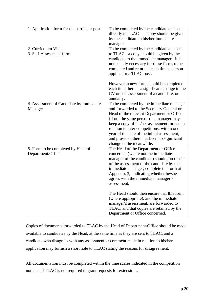| 1. Application form for the particular post             | To be completed by the candidate and sent<br>directly to TLAC - a copy should be given<br>by the candidate to his/her immediate<br>manager                                                                                                                                                                                                                                                            |
|---------------------------------------------------------|-------------------------------------------------------------------------------------------------------------------------------------------------------------------------------------------------------------------------------------------------------------------------------------------------------------------------------------------------------------------------------------------------------|
| 2. Curriculum Vitae<br>3. Self-Assessment form          | To be completed by the candidate and sent<br>to TLAC - a copy should be given by the<br>candidate to the immediate manager - it is<br>not usually necessary for these forms to be<br>completed and returned each time a person<br>applies for a TLAC post.                                                                                                                                            |
|                                                         | However, a new form should be completed<br>each time there is a significant change in the<br>CV or self-assessment of a candidate, or<br>annually.                                                                                                                                                                                                                                                    |
| 4. Assessment of Candidate by Immediate<br>Manager      | To be completed by the immediate manager<br>and forwarded to the Secretary General or<br>Head of the relevant Department or Office<br>(if not the same person) - a manager may<br>keep a copy of his/her assessment for use in<br>relation to later competitions, within one<br>year of the date of the initial assessment,<br>and provided there has been no significant<br>change in the meanwhile. |
| 5. Form to be completed by Head of<br>Department/Office | The Head of the Department or Office<br>concerned (where not the immediate<br>manager of the candidate) should, on receipt<br>of the assessment of the candidate by the<br>immediate manager, complete the form at<br>Appendix 3, indicating whether he/she<br>agrees with the immediate manager's<br>assessment.                                                                                     |
|                                                         | The Head should then ensure that this form<br>(where appropriate), and the immediate<br>manager's assessment, are forwarded to<br>TLAC, and that copies are retained by the<br>Department or Office concerned.                                                                                                                                                                                        |

Copies of documents forwarded to TLAC by the Head of Department/Office should be made available to candidates by the Head, at the same time as they are sent to TLAC, and a candidate who disagrees with any assessment or comment made in relation to his/her application may furnish a short note to TLAC stating the reasons for disagreement.

All documentation must be completed within the time scales indicated in the competition notice and TLAC is not required to grant requests for extensions.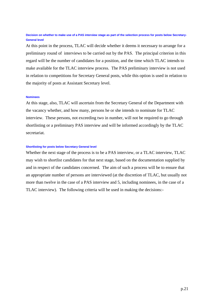#### **Decision on whether to make use of a PAS interview stage as part of the selection process for posts below Secretary-General level**

At this point in the process, TLAC will decide whether it deems it necessary to arrange for a preliminary round of interviews to be carried out by the PAS. The principal criterion in this regard will be the number of candidates for a position, and the time which TLAC intends to make available for the TLAC interview process. The PAS preliminary interview is not used in relation to competitions for Secretary General posts, while this option is used in relation to the majority of posts at Assistant Secretary level.

#### **Nominees**

At this stage, also, TLAC will ascertain from the Secretary General of the Department with the vacancy whether, and how many, persons he or she intends to nominate for TLAC interview. These persons, not exceeding two in number, will not be required to go through shortlisting or a preliminary PAS interview and will be informed accordingly by the TLAC secretariat.

#### **Shortlisting for posts below Secretary General level**

Whether the next stage of the process is to be a PAS interview, or a TLAC interview, TLAC may wish to shortlist candidates for that next stage, based on the documentation supplied by and in respect of the candidates concerned. The aim of such a process will be to ensure that an appropriate number of persons are interviewed (at the discretion of TLAC, but usually not more than twelve in the case of a PAS interview and 5, including nominees, in the case of a TLAC interview). The following criteria will be used in making the decisions:-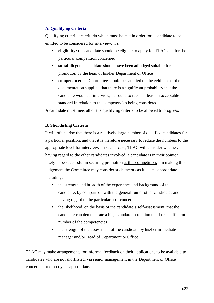#### **A. Qualifying Criteria**

Qualifying criteria are criteria which must be met in order for a candidate to be entitled to be considered for interview, viz.

- eligibility: the candidate should be eligible to apply for TLAC and for the particular competition concerned
- **suitability:** the candidate should have been adjudged suitable for promotion by the head of his/her Department or Office
- **competence:** the Committee should be satisfied on the evidence of the documentation supplied that there is a significant probability that the candidate would, at interview, be found to reach at least an acceptable standard in relation to the competencies being considered.

A candidate must meet all of the qualifying criteria to be allowed to progress.

#### **B. Shortlisting Criteria**

It will often arise that there is a relatively large number of qualified candidates for a particular position, and that it is therefore necessary to reduce the numbers to the appropriate level for interview. In such a case, TLAC will consider whether, having regard to the other candidates involved, a candidate is in their opinion likely to be successful in securing promotion at this competition**.** In making this judgement the Committee may consider such factors as it deems appropriate including:

- the strength and breadth of the experience and background of the candidate, by comparison with the general run of other candidates and having regard to the particular post concerned
- the likelihood, on the basis of the candidate's self-assessment, that the candidate can demonstrate a high standard in relation to all or a sufficient number of the competencies
- the strength of the assessment of the candidate by his/her immediate manager and/or Head of Department or Office.

TLAC may make arrangements for informal feedback on their applications to be available to candidates who are not shortlisted, via senior management in the Department or Office concerned or directly, as appropriate.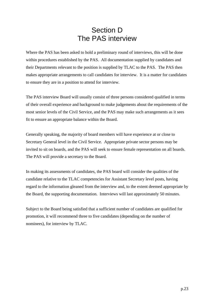### Section D The PAS interview

Where the PAS has been asked to hold a preliminary round of interviews, this will be done within procedures established by the PAS. All documentation supplied by candidates and their Departments relevant to the position is supplied by TLAC to the PAS. The PAS then makes appropriate arrangements to call candidates for interview. It is a matter for candidates to ensure they are in a position to attend for interview.

The PAS interview Board will usually consist of three persons considered qualified in terms of their overall experience and background to make judgements about the requirements of the most senior levels of the Civil Service, and the PAS may make such arrangements as it sees fit to ensure an appropriate balance within the Board.

Generally speaking, the majority of board members will have experience at or close to Secretary General level in the Civil Service. Appropriate private sector persons may be invited to sit on boards, and the PAS will seek to ensure female representation on all boards. The PAS will provide a secretary to the Board.

In making its assessments of candidates, the PAS board will consider the qualities of the candidate relative to the TLAC competencies for Assistant Secretary level posts, having regard to the information gleaned from the interview and, to the extent deemed appropriate by the Board, the supporting documentation. Interviews will last approximately 50 minutes.

Subject to the Board being satisfied that a sufficient number of candidates are qualified for promotion, it will recommend three to five candidates (depending on the number of nominees), for interview by TLAC.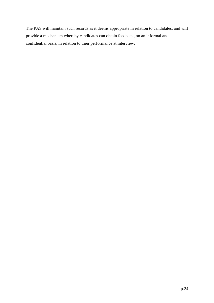The PAS will maintain such records as it deems appropriate in relation to candidates, and will provide a mechanism whereby candidates can obtain feedback, on an informal and confidential basis, in relation to their performance at interview.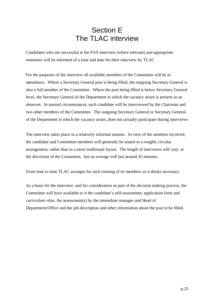### Section E The TLAC interview

Candidates who are successful at the PAS interview (where relevant) and appropriate nominees will be informed of a time and date for their interview by TLAC

For the purposes of the interview all available members of the Committee will be in attendance. Where a Secretary General post is being filled, the outgoing Secretary General is also a full member of the Committee. Where the post being filled is below Secretary General level, the Secretary General of the Department in which the vacancy arises is present as an observer. In normal circumstances, each candidate will be interviewed by the Chairman and two other members of the Committee. The outgoing Secretary General or Secretary General of the Department in which the vacancy arises, does not actually participate during interviews

The interview takes place in a relatively informal manner. In view of the numbers involved, the candidate and Committee members will generally be seated in a roughly circular arrangement, rather than in a more traditional layout. The length of interviews will vary, at the discretion of the Committee, but on average will last around 45 minutes.

From time to time TLAC arranges for such training of its members as it thinks necessary.

As a basis for the interview, and for consideration as part of the decision making process, the Committee will have available to it the candidate's self-assessment, application form and *curriculum vitae*, the assessment(s) by the immediate manager and Head of Department/Office and the job description and other information about the post to be filled.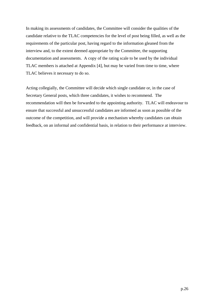In making its assessments of candidates, the Committee will consider the qualities of the candidate relative to the TLAC competencies for the level of post being filled, as well as the requirements of the particular post, having regard to the information gleaned from the interview and, to the extent deemed appropriate by the Committee, the supporting documentation and assessments. A copy of the rating scale to be used by the individual TLAC members is attached at Appendix [4], but may be varied from time to time, where TLAC believes it necessary to do so.

Acting collegially, the Committee will decide which single candidate or, in the case of Secretary General posts, which three candidates, it wishes to recommend. The recommendation will then be forwarded to the appointing authority. TLAC will endeavour to ensure that successful and unsuccessful candidates are informed as soon as possible of the outcome of the competition, and will provide a mechanism whereby candidates can obtain feedback, on an informal and confidential basis, in relation to their performance at interview.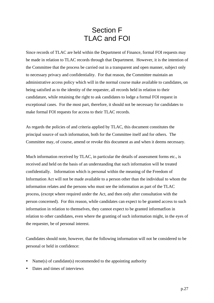### Section F TLAC and FOI

Since records of TLAC are held within the Department of Finance, formal FOI requests may be made in relation to TLAC records through that Department. However, it is the intention of the Committee that the process be carried out in a transparent and open manner, subject only to necessary privacy and confidentiality. For that reason, the Committee maintain an administrative access policy which will in the normal course make available to candidates, on being satisfied as to the identity of the requester, all records held in relation to their candidature, while retaining the right to ask candidates to lodge a formal FOI request in exceptional cases. For the most part, therefore, it should not be necessary for candidates to make formal FOI requests for access to their TLAC records.

As regards the policies of and criteria applied by TLAC, this document constitutes the principal source of such information, both for the Committee itself and for others. The Committee may, of course, amend or revoke this document as and when it deems necessary.

Much information received by TLAC, in particular the details of assessment forms etc., is received and held on the basis of an understanding that such information will be treated confidentially. Information which is personal within the meaning of the Freedom of Information Act will not be made available to a person other than the individual to whom the information relates and the persons who must see the information as part of the TLAC process, (except where required under the Act, and then only after consultation with the person concerned). For this reason, while candidates can expect to be granted access to such information in relation to themselves, they cannot expect to be granted informatfion in relation to other candidates, even where the granting of such information might, in the eyes of the requester, be of personal interest.

Candidates should note, however, that the following information will not be considered to be personal or held in confidence:

- Name(s) of candidate(s) recommended to the appointing authority
- Dates and times of interviews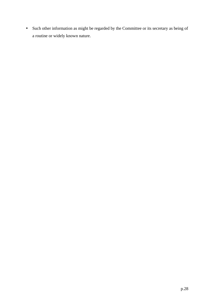• Such other information as might be regarded by the Committee or its secretary as being of a routine or widely known nature.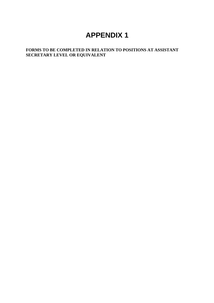### **APPENDIX 1**

#### **FORMS TO BE COMPLETED IN RELATION TO POSITIONS AT ASSISTANT SECRETARY LEVEL OR EQUIVALENT**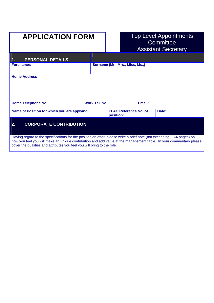# **APPLICATION FORM**

# Top Level Appointments<br>Committee Assistant Secretary

| <b>PERSONAL DETAILS</b><br>1.                                                                                                                                                                                                                                                                                           |                                           |        |       |
|-------------------------------------------------------------------------------------------------------------------------------------------------------------------------------------------------------------------------------------------------------------------------------------------------------------------------|-------------------------------------------|--------|-------|
| <b>Forenames</b>                                                                                                                                                                                                                                                                                                        | Surname (Mr., Mrs., Miss, Ms.,)           |        |       |
| <b>Home Address</b>                                                                                                                                                                                                                                                                                                     |                                           |        |       |
| <b>Home Telephone No:</b>                                                                                                                                                                                                                                                                                               | Work Tel. No.                             | Email: |       |
| Name of Position for which you are applying:                                                                                                                                                                                                                                                                            | <b>TLAC Reference No. of</b><br>position: |        | Date: |
| <b>CORPORATE CONTRIBUTION</b><br>2.                                                                                                                                                                                                                                                                                     |                                           |        |       |
| Having regard to the specifications for the position on offer, please write a brief note (not exceeding 2 A4 pages) on<br>how you feel you will make an unique contribution and add value at the management table. In your commentary please<br>cover the qualities and attributes you feel you will bring to the role. |                                           |        |       |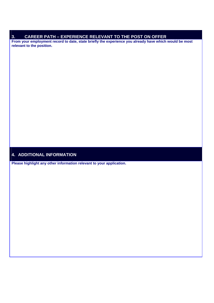#### **3. CAREER PATH – EXPERIENCE RELEVANT TO THE POST ON OFFER**

**From your employment record to date, state briefly the experience you already have which would be most relevant to the position.** 

#### **4. ADDITIONAL INFORMATION**

**Please highlight any other information relevant to your application.**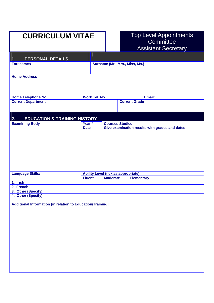# **CURRICULUM VITAE**

# Top Level Appointments<br>Committee Assistant Secretary

| <b>PERSONAL DETAILS</b><br>1.                 |                                            |                 |                                |                                                |
|-----------------------------------------------|--------------------------------------------|-----------------|--------------------------------|------------------------------------------------|
| <b>Forenames</b>                              |                                            |                 | Surname (Mr., Mrs., Miss, Ms.) |                                                |
| <b>Home Address</b>                           |                                            |                 |                                |                                                |
| <b>Home Telephone No.</b>                     | <b>Work Tel. No.</b>                       |                 |                                | Email:                                         |
| <b>Current Department</b>                     |                                            |                 | <b>Current Grade</b>           |                                                |
| <b>EDUCATION &amp; TRAINING HISTORY</b><br>2. |                                            |                 |                                |                                                |
| <b>Examining Body</b>                         | Year /<br><b>Date</b>                      |                 | <b>Courses Studied</b>         | Give examination results with grades and dates |
| <b>Language Skills:</b>                       | <b>Ability Level (tick as appropriate)</b> |                 |                                |                                                |
|                                               | <b>Fluent</b>                              | <b>Moderate</b> |                                | <b>Elementary</b>                              |
| 1. Irish                                      |                                            |                 |                                |                                                |
| 2. French                                     |                                            |                 |                                |                                                |
| 3. Other (Specify)                            |                                            |                 |                                |                                                |
| 4. Other (Specify)                            |                                            |                 |                                |                                                |

**Additional Information [in relation to Education/Training]**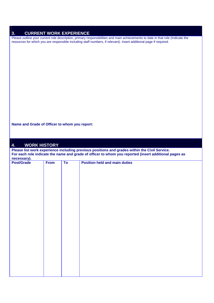| <b>CURRENT WORK EXPERIENCE</b><br>3.          |             |    |                                                                                                                                                                                                                                                       |
|-----------------------------------------------|-------------|----|-------------------------------------------------------------------------------------------------------------------------------------------------------------------------------------------------------------------------------------------------------|
|                                               |             |    | Please outline your current role description, primary responsibilities and main achievements to date in that role (Indicate the<br>resources for which you are responsible including staff numbers, if relevant). Insert additional page if required. |
|                                               |             |    |                                                                                                                                                                                                                                                       |
|                                               |             |    |                                                                                                                                                                                                                                                       |
|                                               |             |    |                                                                                                                                                                                                                                                       |
|                                               |             |    |                                                                                                                                                                                                                                                       |
|                                               |             |    |                                                                                                                                                                                                                                                       |
|                                               |             |    |                                                                                                                                                                                                                                                       |
|                                               |             |    |                                                                                                                                                                                                                                                       |
|                                               |             |    |                                                                                                                                                                                                                                                       |
|                                               |             |    |                                                                                                                                                                                                                                                       |
|                                               |             |    |                                                                                                                                                                                                                                                       |
|                                               |             |    |                                                                                                                                                                                                                                                       |
| Name and Grade of Officer to whom you report: |             |    |                                                                                                                                                                                                                                                       |
|                                               |             |    |                                                                                                                                                                                                                                                       |
| <b>WORK HISTORY</b><br>4.                     |             |    |                                                                                                                                                                                                                                                       |
|                                               |             |    | Please list work experience including previous positions and grades within the Civil Service.<br>For each role indicate the name and grade of officer to whom you reported (insert additional pages as                                                |
|                                               |             |    |                                                                                                                                                                                                                                                       |
| necessary).<br><b>Post/Grade</b>              | <b>From</b> | To | <b>Position held and main duties</b>                                                                                                                                                                                                                  |
|                                               |             |    |                                                                                                                                                                                                                                                       |
|                                               |             |    |                                                                                                                                                                                                                                                       |
|                                               |             |    |                                                                                                                                                                                                                                                       |
|                                               |             |    |                                                                                                                                                                                                                                                       |
|                                               |             |    |                                                                                                                                                                                                                                                       |
|                                               |             |    |                                                                                                                                                                                                                                                       |
|                                               |             |    |                                                                                                                                                                                                                                                       |
|                                               |             |    |                                                                                                                                                                                                                                                       |
|                                               |             |    |                                                                                                                                                                                                                                                       |
|                                               |             |    |                                                                                                                                                                                                                                                       |
|                                               |             |    |                                                                                                                                                                                                                                                       |
|                                               |             |    |                                                                                                                                                                                                                                                       |
|                                               |             |    |                                                                                                                                                                                                                                                       |
|                                               |             |    |                                                                                                                                                                                                                                                       |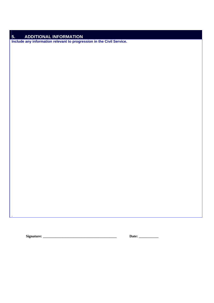### **5.** ADDITIONAL INFORMATION

**Include any information relevant to progression in the Civil Service.** 

.

**Signature: \_\_\_\_\_\_\_\_\_\_\_\_\_\_\_\_\_\_\_\_\_\_\_\_\_\_\_\_\_\_\_\_\_\_\_\_\_\_\_\_\_ Date: \_\_\_\_\_\_\_\_\_\_\_**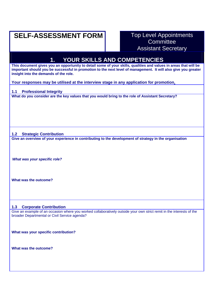### **SELF-ASSESSMENT FORM** Top Level Appointments

# **Committee** Assistant Secretary

# **1. YOUR SKILLS AND COMPETENCIES This document gives you an opportunity to detail some of your skills, qualities and values in areas that will be important should you be successful in promotion to the next level of management. It will also give you greater insight into the demands of the role. Your responses may be utilised at the interview stage in any application for promotion. 1.1 Professional Integrity What do you consider are the key values that you would bring to the role of Assistant Secretary? 1.2 Strategic Contribution Give an overview of your experience in contributing to the development of strategy in the organisation**  *What was your specific role?* **What was the outcome? 1.3 Corporate Contribution**

Give an example of an occasion where you worked collaboratively outside your own strict remit in the interests of the broader Departmental or Civil Service agenda?

**What was your specific contribution?** 

**What was the outcome?**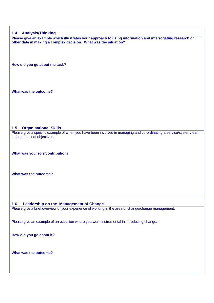#### **1.4 Analysis/Thinking**

**Please give an example which illustrates your approach to using information and interrogating research or other data in making a complex decision. What was the situation?** 

**How did you go about the task?** 

**What was the outcome?** 

#### **1.5 Organisational Skills**

Please give a specific example of when you have been involved in managing and co-ordinating a service/system/team in the pursuit of objectives.

**What was your role/contribution?** 

**What was the outcome?** 

#### **1.6 Leadership on the Management of Change**

Please give a brief overview of your experience of working in the area of change/change management.

Please give an example of an occasion where you were instrumental in introducing change.

**How did you go about it?** 

**What was the outcome?**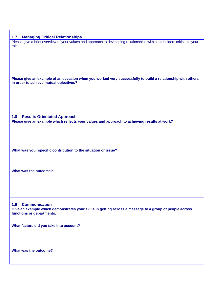| 1.7<br><b>Managing Critical Relationships</b>                                                                                                         |
|-------------------------------------------------------------------------------------------------------------------------------------------------------|
| Please give a brief overview of your values and approach to developing relationships with stakeholders critical to your<br>role.                      |
| Please give an example of an occasion when you worked very successfully to build a relationship with others<br>in order to achieve mutual objectives? |
|                                                                                                                                                       |
| <b>Results Orientated Approach</b><br>1.8                                                                                                             |
| Please give an example which reflects your values and approach to achieving results at work?                                                          |
|                                                                                                                                                       |
| What was your specific contribution to the situation or issue?                                                                                        |
| What was the outcome?                                                                                                                                 |
|                                                                                                                                                       |
|                                                                                                                                                       |
| <b>Communication</b><br>1.9                                                                                                                           |
| Give an example which demonstrates your skills in getting across a message to a group of people across<br>functions or departments.                   |
| What factors did you take into account?                                                                                                               |
| What was the outcome?                                                                                                                                 |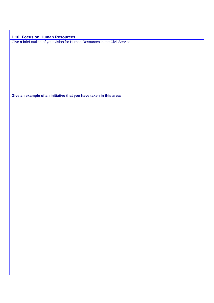**1.10 Focus on Human Resources**  Give a brief outline of your vision for Human Resources in the Civil Service.

**Give an example of an initiative that you have taken in this area:**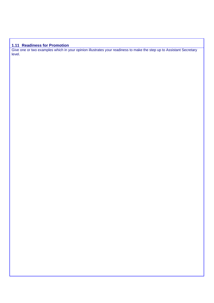### **1.11 Readiness for Promotion**

Give one or two examples which in your opinion illustrates your readiness to make the step up to Assistant Secretary level.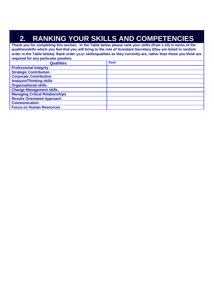# **2. RANKING YOUR SKILLS AND COMPETENCIES**

**Thank you for completing this section. In the Table below please rank your skills (from 1-10) in terms of the qualities/skills which you feel that you will bring to the role of Assistant Secretary (they are listed in random order in the Table below). Rank order** your **skills/qualities as they currently are, rather than those you think are required for any particular position. Qualities** Rank **Professional Integrity Strategic Contribution Corporate Contribution Analysis/Thinking skills Organisational skills Change Management skills Managing Critical Relationships Results Orientated Approach Communication Focus on Human Resources**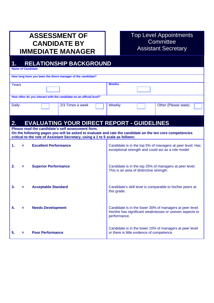# **ASSESSMENT OF CANDIDATE BY IMMEDIATE MANAGER**

### Top Level Appointments **Committee** Assistant Secretary

### **1. RELATIONSHIP BACKGROUND Name of Candidate How long have you been the direct manager of the candidate? Years Months How often do you interact with the candidate on an official level?**  Daily 2/3 Times a week Weekly Other (Please state). **2. EVALUATING YOUR DIRECT REPORT - GUIDELINES Please read the candidate's self assessment form. On the following pages you will be asked to evaluate and rate the candidate on the ten core competencies critical to the role of Assistant Secretary, using a 1 to 5 scale as follows: 1. = Excellent Performance 2. = Superior Performance 3. = Acceptable Standard 4. = Needs Development 5. = Poor Performance** Candidate is in the top 5% of managers at peer level; Has exceptional strength and could act as a role model. Candidate is in the top 25% of managers at peer level; This is an area of distinctive strength. Candidate's skill level is comparable to his/her peers at this grade. Candidate is in the lower 30% of managers at peer level. He/she has significant weaknesses or uneven aspects to performance. Candidate is in the lower 10% of managers at peer level or there is little evidence of competence.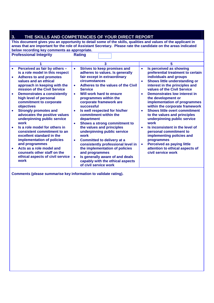| 3.                                                                                                                                                                                                                                                                                                                                                                                                                                                                                                                                                                                                                                        | THE SKILLS AND COMPETENCIES OF YOUR DIRECT REPORT                                                                                                                                                                                                                                                                                                                                                                                                                                                                                                                                                                                                    |                                                                                                                                                                                                                                                                                                                                                                                                                                                                                                                                                                                                                              |
|-------------------------------------------------------------------------------------------------------------------------------------------------------------------------------------------------------------------------------------------------------------------------------------------------------------------------------------------------------------------------------------------------------------------------------------------------------------------------------------------------------------------------------------------------------------------------------------------------------------------------------------------|------------------------------------------------------------------------------------------------------------------------------------------------------------------------------------------------------------------------------------------------------------------------------------------------------------------------------------------------------------------------------------------------------------------------------------------------------------------------------------------------------------------------------------------------------------------------------------------------------------------------------------------------------|------------------------------------------------------------------------------------------------------------------------------------------------------------------------------------------------------------------------------------------------------------------------------------------------------------------------------------------------------------------------------------------------------------------------------------------------------------------------------------------------------------------------------------------------------------------------------------------------------------------------------|
| below recording key comments as appropriate.<br><b>Professional Integrity</b>                                                                                                                                                                                                                                                                                                                                                                                                                                                                                                                                                             | This document gives you an opportunity to detail some of the skills, qualities and values of the applicant in<br>areas that are important for the role of Assistant Secretary. Please rate the candidate on the areas indicated<br><b>Rating</b>                                                                                                                                                                                                                                                                                                                                                                                                     |                                                                                                                                                                                                                                                                                                                                                                                                                                                                                                                                                                                                                              |
|                                                                                                                                                                                                                                                                                                                                                                                                                                                                                                                                                                                                                                           | 3                                                                                                                                                                                                                                                                                                                                                                                                                                                                                                                                                                                                                                                    | 5.                                                                                                                                                                                                                                                                                                                                                                                                                                                                                                                                                                                                                           |
| Perceived as fair by others -<br>$\bullet$<br>is a role model in this respect<br><b>Adheres to and promotes</b><br>values and an ethical<br>approach in keeping with the<br>mission of the Civil Service<br><b>Demonstrates a consistently</b><br>$\bullet$<br>high level of personal<br>commitment to corporate<br>objectives<br><b>Strongly promotes and</b><br>$\bullet$<br>advocates the positive values<br>underpinning public service<br>work<br>Is a role model for others in<br>consistent commitment to an<br>excellent standard in the<br>implementation of policies<br>and programmes<br>Acts as a role model and<br>$\bullet$ | <b>Strives to keep promises and</b><br>$\bullet$<br>adheres to values. Is generally<br>fair except in extraordinary<br>circumstances<br>Adheres to the values of the Civil<br>$\bullet$<br><b>Service</b><br>Will work hard to ensure<br>$\bullet$<br>programmes within the<br>corporate framework are<br>successful<br>Is well respected for his/her<br>$\bullet$<br>commitment within the<br>department<br>Shows a strong commitment to<br>$\bullet$<br>the values and principles<br>underpinning public service<br>work<br><b>Committed to delivery at a</b><br>$\bullet$<br>consistently professional level in<br>the implementation of policies | Is perceived as showing<br>$\bullet$<br>preferential treatment to certain<br>individuals and groups<br>Shows little understanding or<br>interest in the principles and<br>values of the Civil Service<br>Demonstrates low interest in<br>the development or<br>implementation of programmes<br>within the corporate framework<br><b>Shows little overt commitment</b><br>to the values and principles<br>underpinning public service<br>work<br>Is inconsistent in the level of<br>personal commitment to<br>implementing policies and<br>programmes<br><b>Perceived as paying little</b><br>attention to ethical aspects of |
| counsels other staff on the<br>ethical aspects of civil service<br>work                                                                                                                                                                                                                                                                                                                                                                                                                                                                                                                                                                   | and programmes<br>Is generally aware of and deals<br>$\bullet$<br>capably with the ethical aspects<br>of civil service work                                                                                                                                                                                                                                                                                                                                                                                                                                                                                                                          | civil service work                                                                                                                                                                                                                                                                                                                                                                                                                                                                                                                                                                                                           |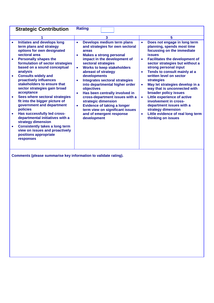| <b>Strategic Contribution</b>                                                                                                                                                                                                                                                                                                                                                                                                                                                                                                                                                                                                                                                                                                                                | <b>Rating</b>                                                                                                                                                                                                                                                                                                                                                                                                                                                                                                                                                                                                        |                                                                                                                                                                                                                                                                                                                                                                                                                                                                                                                                                                                                                                               |
|--------------------------------------------------------------------------------------------------------------------------------------------------------------------------------------------------------------------------------------------------------------------------------------------------------------------------------------------------------------------------------------------------------------------------------------------------------------------------------------------------------------------------------------------------------------------------------------------------------------------------------------------------------------------------------------------------------------------------------------------------------------|----------------------------------------------------------------------------------------------------------------------------------------------------------------------------------------------------------------------------------------------------------------------------------------------------------------------------------------------------------------------------------------------------------------------------------------------------------------------------------------------------------------------------------------------------------------------------------------------------------------------|-----------------------------------------------------------------------------------------------------------------------------------------------------------------------------------------------------------------------------------------------------------------------------------------------------------------------------------------------------------------------------------------------------------------------------------------------------------------------------------------------------------------------------------------------------------------------------------------------------------------------------------------------|
|                                                                                                                                                                                                                                                                                                                                                                                                                                                                                                                                                                                                                                                                                                                                                              | 3                                                                                                                                                                                                                                                                                                                                                                                                                                                                                                                                                                                                                    | 5                                                                                                                                                                                                                                                                                                                                                                                                                                                                                                                                                                                                                                             |
| <b>Initiates and develops long</b><br>$\bullet$<br>term plans and strategy<br>options for own designated<br>sectoral area<br><b>Personally shapes the</b><br>$\bullet$<br>formulation of sector strategies<br>based on a sound conceptual<br>analysis<br><b>Consults widely and</b><br>$\bullet$<br>proactively influences<br>stakeholders to ensure that<br>sector strategies gain broad<br>acceptance<br>Sees where sectoral strategies<br>$\bullet$<br>fit into the bigger picture of<br>government and department<br>policies<br>Has successfully led cross-<br>$\bullet$<br>departmental initiatives with a<br>strategy dimension<br><b>Consistently takes a long term</b><br>٠<br>view on issues and proactively<br>positions appropriate<br>responses | Develops medium term plans<br>$\bullet$<br>and strategies for own sectoral<br>areas<br><b>Makes a strong personal</b><br>impact in the development of<br>sectoral strategies<br><b>Works to keep stakeholders</b><br>$\bullet$<br>abreast of strategy<br>developments<br><b>Integrates sectoral strategies</b><br>$\bullet$<br>into departmental higher order<br>objectives<br>Has been centrally involved in<br>$\bullet$<br>cross-department issues with a<br>strategic dimension<br><b>Evidence of taking a longer</b><br>$\bullet$<br>term view on significant issues<br>and of emergent response<br>development | Does not engage in long term<br>$\bullet$<br>planning, spends most time<br>focussing on the immediate<br><b>issues</b><br><b>Facilitates the development of</b><br>$\bullet$<br>sector strategies but without a<br>strong personal input<br>Tends to consult mainly at a<br>$\bullet$<br>written level on sector<br><b>strategies</b><br>May let strategies develop in a<br>$\bullet$<br>way that is unconnected with<br>broader policy issues<br>Little experience of active<br>$\bullet$<br>involvement in cross-<br>department issues with a<br>strategy dimension<br>Little evidence of real long term<br>$\bullet$<br>thinking on issues |
| Comments (please summarise key information to validate rating).                                                                                                                                                                                                                                                                                                                                                                                                                                                                                                                                                                                                                                                                                              |                                                                                                                                                                                                                                                                                                                                                                                                                                                                                                                                                                                                                      |                                                                                                                                                                                                                                                                                                                                                                                                                                                                                                                                                                                                                                               |
|                                                                                                                                                                                                                                                                                                                                                                                                                                                                                                                                                                                                                                                                                                                                                              |                                                                                                                                                                                                                                                                                                                                                                                                                                                                                                                                                                                                                      |                                                                                                                                                                                                                                                                                                                                                                                                                                                                                                                                                                                                                                               |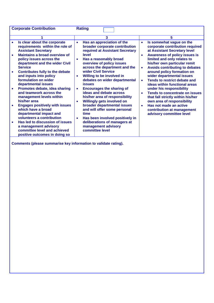| <b>Corporate Contribution</b>                                                                                                                                                                                                                                                                                                                                                                                                                                                                                                                                                                                               | <b>Rating</b>                                                                                                                                                                                                                                                                                                                                                                                                                                                                                                                                                                                                                 |                                                                                                                                                                                                                                                                                                                                                                                                                                                                                                                                                                                                                                                                                                 |
|-----------------------------------------------------------------------------------------------------------------------------------------------------------------------------------------------------------------------------------------------------------------------------------------------------------------------------------------------------------------------------------------------------------------------------------------------------------------------------------------------------------------------------------------------------------------------------------------------------------------------------|-------------------------------------------------------------------------------------------------------------------------------------------------------------------------------------------------------------------------------------------------------------------------------------------------------------------------------------------------------------------------------------------------------------------------------------------------------------------------------------------------------------------------------------------------------------------------------------------------------------------------------|-------------------------------------------------------------------------------------------------------------------------------------------------------------------------------------------------------------------------------------------------------------------------------------------------------------------------------------------------------------------------------------------------------------------------------------------------------------------------------------------------------------------------------------------------------------------------------------------------------------------------------------------------------------------------------------------------|
|                                                                                                                                                                                                                                                                                                                                                                                                                                                                                                                                                                                                                             | 3                                                                                                                                                                                                                                                                                                                                                                                                                                                                                                                                                                                                                             | 5                                                                                                                                                                                                                                                                                                                                                                                                                                                                                                                                                                                                                                                                                               |
| Is clear about the corporate<br>$\bullet$<br>requirements within the role of<br><b>Assistant Secretary</b><br><b>Maintains a broad overview of</b><br>$\bullet$<br>policy issues across the<br>department and the wider Civil<br><b>Service</b><br><b>Contributes fully to the debate</b><br>$\bullet$<br>and inputs into policy<br>formulation on wider<br>departmental issues<br>Promotes debate, idea sharing<br>$\bullet$<br>and teamwork across the<br>management levels within<br>his/her area<br><b>Engages positively with issues</b><br>which have a broad<br>departmental impact and<br>volunteers a contribution | Has an appreciation of the<br>$\bullet$<br>broader corporate contribution<br>required at Assistant Secretary<br>level<br>Has a reasonably broad<br>$\bullet$<br>overview of policy issues<br>across the department and the<br>wider Civil Service<br>Willing to be involved in<br>$\bullet$<br>debates on wider departmental<br><b>issues</b><br><b>Encourages the sharing of</b><br>$\bullet$<br>ideas and debate across<br>his/her area of responsibility<br>Willingly gets involved on<br>$\bullet$<br>broader departmental issues<br>and will offer some personal<br>time<br>Has been involved positively in<br>$\bullet$ | Is somewhat vague on the<br>$\bullet$<br>corporate contribution required<br>at Assistant Secretary level<br><b>Awareness of policy issues is</b><br>$\bullet$<br>limited and only relates to<br>his/her own particular remit<br><b>Avoids contributing to debates</b><br>$\bullet$<br>around policy formation on<br>wider departmental issues<br><b>Tends to restrict debate and</b><br>$\bullet$<br><b>ideas within functional areas</b><br>under his responsibility<br><b>Tends to concentrate on issues</b><br>$\bullet$<br>that fall strictly within his/her<br>own area of responsibility<br>Has not made an active<br>$\bullet$<br>contribution at management<br>advisory committee level |
| Has led to discussion of issues<br>$\bullet$<br>a management advisory<br>committee level and achieved<br>positive outcomes in doing so                                                                                                                                                                                                                                                                                                                                                                                                                                                                                      | deliberations of managers at<br>management advisory<br>committee level                                                                                                                                                                                                                                                                                                                                                                                                                                                                                                                                                        |                                                                                                                                                                                                                                                                                                                                                                                                                                                                                                                                                                                                                                                                                                 |
| Comments (please summarise key information to validate rating).                                                                                                                                                                                                                                                                                                                                                                                                                                                                                                                                                             |                                                                                                                                                                                                                                                                                                                                                                                                                                                                                                                                                                                                                               |                                                                                                                                                                                                                                                                                                                                                                                                                                                                                                                                                                                                                                                                                                 |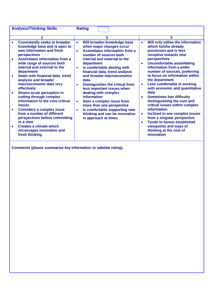| <b>Analysis/Thinking Skills</b>                                                                                                                                          | <b>Rating</b>                                                                                                                                                                        |                                                                                                                                              |
|--------------------------------------------------------------------------------------------------------------------------------------------------------------------------|--------------------------------------------------------------------------------------------------------------------------------------------------------------------------------------|----------------------------------------------------------------------------------------------------------------------------------------------|
|                                                                                                                                                                          | 3                                                                                                                                                                                    | 5                                                                                                                                            |
| <b>Consistently seeks to broaden</b><br>knowledge base and is open to<br>new information and fresh<br>perspectives<br><b>Assimilates information from a</b><br>$\bullet$ | Will broaden knowledge base<br>$\bullet$<br>when major changes occur<br><b>Assimilates information from a</b><br>$\bullet$<br>number of sources both<br>internal and external to the | Will only utilise the information<br>$\bullet$<br>which he/she already<br>possesses and is less<br>receptive towards new<br>perspectives     |
| wide range of sources both<br>internal and external to the<br>department                                                                                                 | department<br>Is comfortable dealing with<br>$\bullet$<br>financial data, trend analysis                                                                                             | <b>Uncomfortable assimilating</b><br>$\bullet$<br>information from a wider<br>number of sources, preferring                                  |
| Deals with financial data, trend<br>$\bullet$<br>analysis and broader<br>macroeconomic data very<br>effectively                                                          | and broader macroeconomic<br>data<br><b>Distinguishes the critical from</b><br>$\bullet$<br>less important issues when                                                               | to focus on information within<br>the department<br>Less comfortable in working<br>$\bullet$<br>with economic and quantitative               |
| Shows acute perception in<br>$\bullet$<br>cutting through complex<br>information to the core critical<br><b>issues</b>                                                   | dealing with complex<br>information<br>Sees a complex issue from<br>$\bullet$<br>more than one perspective                                                                           | data<br><b>Sometimes has difficulty</b><br>$\bullet$<br>distinguishing the core and<br>critical issues within complex                        |
| <b>Considers a complex issue</b><br>$\bullet$<br>from a number of different<br>perspectives before committing<br>to a view                                               | Is comfortable supporting new<br>$\bullet$<br>thinking and can be innovative<br>in approach at times                                                                                 | information<br>Inclined to see complex issues<br>$\bullet$<br>from a singular perspective<br><b>Tends to favour established</b><br>$\bullet$ |
| <b>Creates a climate which</b><br>encourages innovation and<br>fresh thinking                                                                                            |                                                                                                                                                                                      | viewpoints and ways of<br>thinking at the cost of<br>innovation                                                                              |
|                                                                                                                                                                          |                                                                                                                                                                                      |                                                                                                                                              |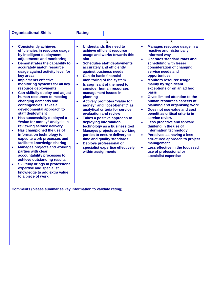|           | <b>Organisational Skills</b>                                                                                                                                     | <b>Rating</b>                                                                                                                                                                                                                                                                                                                                                                          |
|-----------|------------------------------------------------------------------------------------------------------------------------------------------------------------------|----------------------------------------------------------------------------------------------------------------------------------------------------------------------------------------------------------------------------------------------------------------------------------------------------------------------------------------------------------------------------------------|
|           | 1                                                                                                                                                                | 5<br>3                                                                                                                                                                                                                                                                                                                                                                                 |
| $\bullet$ | <b>Consistently achieves</b><br>efficiencies in resource usage<br>by intelligent deployment,<br>adjustments and monitoring                                       | Understands the need to<br>Manages resource usage in a<br>$\bullet$<br>$\bullet$<br>reactive and historically<br>achieve efficient resource<br>usage and works towards this<br>informed way<br>aim<br><b>Operates standard rotas and</b><br>$\bullet$                                                                                                                                  |
|           | Demonstrates the capability to<br>accurately match resource<br>usage against activity level for<br>key areas                                                     | scheduling with lesser<br><b>Schedules staff deployments</b><br>$\bullet$<br>accurately and efficiently<br>consideration of changing<br>against business needs<br>service needs and<br><b>Can do basic financial</b><br>opportunities<br>$\bullet$                                                                                                                                     |
|           | <b>Implements effective</b><br>monitoring systems for all key<br>resource deployments                                                                            | <b>Monitors resource usage</b><br>monitoring of the system<br>$\bullet$<br>mainly by significant<br>Is cognisant of the need to<br>consider human resources<br>exceptions or on an ad hoc                                                                                                                                                                                              |
|           | Can skilfully deploy and adjust<br>human resources to meeting<br>changing demands and<br>contingencies. Takes a<br>developmental approach to<br>staff deployment | <b>basis</b><br>management issues in<br><b>Gives limited attention to the</b><br>planning<br>$\bullet$<br><b>Actively promotes "value for</b><br>human resources aspects of<br>planning and organising work<br>money" and "cost-benefit" as<br>analytical criteria for service<br>Does not use value and cost<br>$\bullet$<br>evaluation and review<br>benefit as critical criteria in |
| $\bullet$ | Has successfully deployed a<br>"value for money" analysis in<br>reviewing service delivery                                                                       | service review<br>Takes a positive approach to<br>$\bullet$<br>deploying information<br><b>Less proactive and forward</b><br>$\bullet$<br>technology as a business tool<br>thinking in the use of                                                                                                                                                                                      |
| $\bullet$ | Has championed the use of<br>information technology to<br>expedite work processes and<br>facilitate knowledge sharing                                            | information technology<br><b>Manages projects and working</b><br>$\bullet$<br>parties to ensure delivery to<br><b>Perceived as having a less</b><br>$\bullet$<br>time and quality standards<br>structured approach to project<br><b>Deploys professional or</b><br>management<br>$\bullet$                                                                                             |
| $\bullet$ | <b>Manages projects and working</b><br>parties with clear<br>accountability processes to<br>achieve outstanding results                                          | specialist expertise effectively<br>Less effective in the focussed<br>$\bullet$<br>within assignments<br>use of professional or<br>specialist expertise                                                                                                                                                                                                                                |
| $\bullet$ | <b>Skillfully brings in professional</b><br>expertise and specialist<br>knowledge to add extra value<br>to a piece of work                                       |                                                                                                                                                                                                                                                                                                                                                                                        |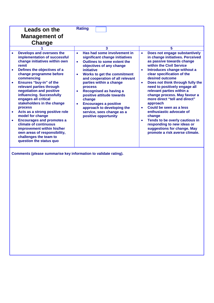|                                                                | Leads on the<br><b>Management of</b><br>Change                                                                                                                                                                                                                                                                                                                                                                                                                                                                                                                                 | <b>Rating</b>                                                                                                                                                                                                                                                                                                                                                                                                                                                                    |                                                                                                                                                                                                                                                                                                                                                                                                                                                                                                                                                                                                                                                 |
|----------------------------------------------------------------|--------------------------------------------------------------------------------------------------------------------------------------------------------------------------------------------------------------------------------------------------------------------------------------------------------------------------------------------------------------------------------------------------------------------------------------------------------------------------------------------------------------------------------------------------------------------------------|----------------------------------------------------------------------------------------------------------------------------------------------------------------------------------------------------------------------------------------------------------------------------------------------------------------------------------------------------------------------------------------------------------------------------------------------------------------------------------|-------------------------------------------------------------------------------------------------------------------------------------------------------------------------------------------------------------------------------------------------------------------------------------------------------------------------------------------------------------------------------------------------------------------------------------------------------------------------------------------------------------------------------------------------------------------------------------------------------------------------------------------------|
|                                                                |                                                                                                                                                                                                                                                                                                                                                                                                                                                                                                                                                                                | 3                                                                                                                                                                                                                                                                                                                                                                                                                                                                                | 5                                                                                                                                                                                                                                                                                                                                                                                                                                                                                                                                                                                                                                               |
| remit<br>$\bullet$<br>$\bullet$<br><b>process</b><br>$\bullet$ | Develops and oversees the<br>implementation of successful<br>change initiatives within own<br>Defines the objectives of a<br>change programme before<br>commencing<br>Ensures "buy-in" of the<br>relevant parties through<br>negotiation and positive<br>influencing. Successfully<br>engages all critical<br>stakeholders in the change<br>Acts as a strong positive role<br>model for change<br><b>Encourages and promotes a</b><br>climate of continuous<br>improvement within his/her<br>own areas of responsibility,<br>challenges the team to<br>question the status quo | Has had some involvement in<br>$\bullet$<br>significant change initiatives<br>Outlines to some extent the<br>$\bullet$<br>objectives of any change<br>initiative<br>Works to get the commitment<br>and cooperation of all relevant<br>parties within a change<br>process<br><b>Recognised as having a</b><br>$\bullet$<br>positive attitude towards<br>change<br><b>Encourages a positive</b><br>approach to developing the<br>service, sees change as a<br>positive opportunity | Does not engage substantively<br>$\bullet$<br>in change initiatives. Perceived<br>as passive towards change<br>within the Civil Service<br>Introduces change without a<br>$\bullet$<br>clear specification of the<br>desired outcome<br>Does not think through fully the<br>$\bullet$<br>need to positively engage all<br>relevant parties within a<br>change process. May favour a<br>more direct "tell and direct"<br>approach<br>Could be seen as a less<br>enthusiastic advocate of<br>change<br>Tends to be overly cautious in<br>$\bullet$<br>responding to new ideas or<br>suggestions for change. May<br>promote a risk averse climate. |
|                                                                |                                                                                                                                                                                                                                                                                                                                                                                                                                                                                                                                                                                | Comments (please summarise key information to validate rating).                                                                                                                                                                                                                                                                                                                                                                                                                  |                                                                                                                                                                                                                                                                                                                                                                                                                                                                                                                                                                                                                                                 |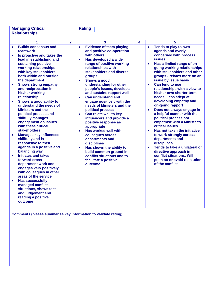| <b>Managing Critical</b>                                                                                                                                                                                                                                                                                                                                                                                                                                                                                                                                                                                                                                                                                                                                                                                                       |                | <b>Rating</b>                                                                                                                                                                                                                                                                                                                                                                                                                                                                                                                                                                                                                                                                                                                                                                                                               |   |                                                                                                                                                                                                                                                                                                                                                                                                                                                                                                                                                                                                                                                                                                                                                                                                                                                            |
|--------------------------------------------------------------------------------------------------------------------------------------------------------------------------------------------------------------------------------------------------------------------------------------------------------------------------------------------------------------------------------------------------------------------------------------------------------------------------------------------------------------------------------------------------------------------------------------------------------------------------------------------------------------------------------------------------------------------------------------------------------------------------------------------------------------------------------|----------------|-----------------------------------------------------------------------------------------------------------------------------------------------------------------------------------------------------------------------------------------------------------------------------------------------------------------------------------------------------------------------------------------------------------------------------------------------------------------------------------------------------------------------------------------------------------------------------------------------------------------------------------------------------------------------------------------------------------------------------------------------------------------------------------------------------------------------------|---|------------------------------------------------------------------------------------------------------------------------------------------------------------------------------------------------------------------------------------------------------------------------------------------------------------------------------------------------------------------------------------------------------------------------------------------------------------------------------------------------------------------------------------------------------------------------------------------------------------------------------------------------------------------------------------------------------------------------------------------------------------------------------------------------------------------------------------------------------------|
|                                                                                                                                                                                                                                                                                                                                                                                                                                                                                                                                                                                                                                                                                                                                                                                                                                |                |                                                                                                                                                                                                                                                                                                                                                                                                                                                                                                                                                                                                                                                                                                                                                                                                                             |   |                                                                                                                                                                                                                                                                                                                                                                                                                                                                                                                                                                                                                                                                                                                                                                                                                                                            |
|                                                                                                                                                                                                                                                                                                                                                                                                                                                                                                                                                                                                                                                                                                                                                                                                                                |                |                                                                                                                                                                                                                                                                                                                                                                                                                                                                                                                                                                                                                                                                                                                                                                                                                             |   |                                                                                                                                                                                                                                                                                                                                                                                                                                                                                                                                                                                                                                                                                                                                                                                                                                                            |
| 1                                                                                                                                                                                                                                                                                                                                                                                                                                                                                                                                                                                                                                                                                                                                                                                                                              |                |                                                                                                                                                                                                                                                                                                                                                                                                                                                                                                                                                                                                                                                                                                                                                                                                                             |   |                                                                                                                                                                                                                                                                                                                                                                                                                                                                                                                                                                                                                                                                                                                                                                                                                                                            |
| <b>Relationships</b><br><b>Builds consensus and</b><br>teamwork<br>Is proactive and takes the<br>$\bullet$<br>lead in establishing and<br>sustaining positive<br>working relationships<br>with key stakeholders<br>both within and outside<br>the department<br><b>Shows strong empathy</b><br>$\bullet$<br>and reciprocation in<br>his/her working<br>relationship<br>Shows a good ability to<br>$\bullet$<br>understand the needs of<br><b>Ministers and the</b><br>political process and<br>skilfully manages<br>engagement on issues<br>with these critical<br><b>stakeholders</b><br><b>Manages key influences</b><br>$\bullet$<br>skillfully and is<br>responsive to their<br>agenda in a positive and<br>balancing way<br><b>Initiates and takes</b><br>forward cross<br>department work and<br>engages very positively | $\overline{2}$ | 3<br><b>Evidence of team playing</b><br>$\bullet$<br>and positive co-operation<br>with others<br>Has developed a wide<br>$\bullet$<br>range of positive working<br>relationships with<br>stakeholders and diverse<br>groups<br>Shows a good<br>$\bullet$<br>understanding for other<br>people's issues, develops<br>and sustains rapport well<br><b>Can understand and</b><br>$\bullet$<br>engage positively with the<br>needs of Ministers and the<br>political process<br>Can relate well to key<br>$\bullet$<br>influencers and provide a<br>positive response as<br>appropriate<br><b>Has worked well with</b><br>$\bullet$<br>colleagues across<br>departments and<br>disciplines<br>Has shown the ability to<br>$\bullet$<br>build common ground in<br>conflict situations and to<br>facilitate a positive<br>outcome | 4 | 5<br>Tends to play to own<br>$\bullet$<br>agenda and overly<br>concerned with process<br><b>issues</b><br>Has a limited range of on-<br>$\bullet$<br>going working relationships<br>with stakeholders and other<br>groups - relates more on an<br>issue by issue basis<br>Can tend to use<br>$\bullet$<br>relationships with a view to<br>his/her own shorter-term<br>needs. Less adept at<br>developing empathy and<br>on-going rapport<br>Does not always engage in<br>$\bullet$<br>a helpful manner with the<br>political process nor<br>empathise with a Minister's<br>critical issues<br>Has not taken the initiative<br>$\bullet$<br>to work strongly across<br>departments and<br>disciplines<br>Tends to take a unilateral or<br>$\bullet$<br>directive approach in<br>conflict situations. Will<br>push on or avoid resolution<br>of the conflict |
| with colleagues in other<br>areas of the service<br><b>Has successfully</b><br>$\bullet$<br>managed conflict<br>situations, shows tact<br>and judgement and<br>reading a positive<br>outcome                                                                                                                                                                                                                                                                                                                                                                                                                                                                                                                                                                                                                                   |                |                                                                                                                                                                                                                                                                                                                                                                                                                                                                                                                                                                                                                                                                                                                                                                                                                             |   |                                                                                                                                                                                                                                                                                                                                                                                                                                                                                                                                                                                                                                                                                                                                                                                                                                                            |
| Comments (please summarise key information to validate rating).                                                                                                                                                                                                                                                                                                                                                                                                                                                                                                                                                                                                                                                                                                                                                                |                |                                                                                                                                                                                                                                                                                                                                                                                                                                                                                                                                                                                                                                                                                                                                                                                                                             |   |                                                                                                                                                                                                                                                                                                                                                                                                                                                                                                                                                                                                                                                                                                                                                                                                                                                            |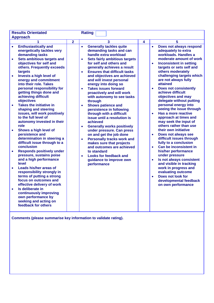|                                     | <b>Results Orientated</b><br><b>Approach</b>                                                                                                                                                                                                                                                                                                                                                                                                                                                                |                | <b>Rating</b>                                                                        |                                                                                                                                                                                                                                                                                                                                                                                                                                                                                                                              |   |                                                  |                                                                                                                                                                                                                                                                                                                                                                                                                                                                                           |
|-------------------------------------|-------------------------------------------------------------------------------------------------------------------------------------------------------------------------------------------------------------------------------------------------------------------------------------------------------------------------------------------------------------------------------------------------------------------------------------------------------------------------------------------------------------|----------------|--------------------------------------------------------------------------------------|------------------------------------------------------------------------------------------------------------------------------------------------------------------------------------------------------------------------------------------------------------------------------------------------------------------------------------------------------------------------------------------------------------------------------------------------------------------------------------------------------------------------------|---|--------------------------------------------------|-------------------------------------------------------------------------------------------------------------------------------------------------------------------------------------------------------------------------------------------------------------------------------------------------------------------------------------------------------------------------------------------------------------------------------------------------------------------------------------------|
|                                     |                                                                                                                                                                                                                                                                                                                                                                                                                                                                                                             | $\overline{2}$ |                                                                                      | $\overline{\mathbf{3}}$                                                                                                                                                                                                                                                                                                                                                                                                                                                                                                      | 4 |                                                  | 5                                                                                                                                                                                                                                                                                                                                                                                                                                                                                         |
| $\bullet$<br>$\bullet$<br>$\bullet$ | <b>Enthusiastically and</b><br>energetically tackles very<br>demanding tasks<br>Sets ambitious targets and<br>objectives for self and<br>others. Frequently exceeds<br>targets<br>Invests a high level of<br>energy and commitment<br>into their role. Takes<br>personal responsibility for<br>getting things done and<br>achieving difficult<br>objectives<br><b>Takes the initiative in</b><br>shaping and steering<br>issues, will work positively<br>to the full level of<br>autonomy invested in their |                | $\bullet$<br>$\bullet$<br>$\bullet$<br>$\bullet$<br>through<br>$\bullet$<br>achieved | <b>Generally tackles quite</b><br>demanding tasks and can<br>handle extra workload<br><b>Sets fairly ambitious targets</b><br>for self and others and<br>generally achieves a result<br><b>Ensures that difficult tasks</b><br>and objectives are achieved<br>and will invest personal<br>energy into doing so<br><b>Takes issues forward</b><br>proactively and will work<br>with autonomy to see tasks<br><b>Shows patience and</b><br>persistence in following<br>through with a difficult<br>issue until a resolution is |   | $\bullet$<br>$\bullet$<br>$\bullet$<br>$\bullet$ | Does not always respond<br>adequately to extra<br>workloads. Handles a<br>moderate amount of work<br><b>Inconsistent in setting</b><br>targets or sets self and<br>others moderately<br>challenging targets which<br>are not always fully<br>attained<br><b>Does not consistently</b><br>achieve difficult<br>objectives and may<br>delegate without putting<br>personal energy into<br>seeing the issue through<br>Has a more reactive<br>approach at times and<br>may seek the input of |
| $\bullet$<br>$\bullet$<br>$\bullet$ | role<br>Shows a high level of<br>persistence and<br>determination in steering a<br>difficult issue through to a<br>conclusion<br><b>Responds positively under</b><br>pressure, sustains poise<br>and a high performance<br>level<br><b>Leads his/her areas of</b><br>responsibility strongly in<br>terms of putting a strong                                                                                                                                                                                |                | $\bullet$<br>$\bullet$<br>$\bullet$                                                  | <b>Generally works positively</b><br>under pressure. Can press<br>on and get the job done<br><b>Personally tracks work and</b><br>makes sure that projects<br>and outcomes are achieved<br>to standard<br><b>Looks for feedback and</b><br>guidance to improve own<br>performance                                                                                                                                                                                                                                            |   | $\bullet$<br>$\bullet$<br>$\bullet$<br>$\bullet$ | others rather than use<br>their own initiative<br>Does not always see<br>difficult issues through<br>fully to a conclusion<br>Can be inconsistent in<br>his/her performance<br>under pressure<br>Is not always consistent<br>and visible in tracking<br>work in progress and<br>evaluating outcome<br>Does not look for                                                                                                                                                                   |
| $\bullet$                           | focus on outcomes and<br>effective delivery of work<br>Is deliberate in<br>continuously improving<br>own performance by<br>seeking and acting on<br>feedback for others                                                                                                                                                                                                                                                                                                                                     |                |                                                                                      |                                                                                                                                                                                                                                                                                                                                                                                                                                                                                                                              |   |                                                  | developmental feedback<br>on own performance                                                                                                                                                                                                                                                                                                                                                                                                                                              |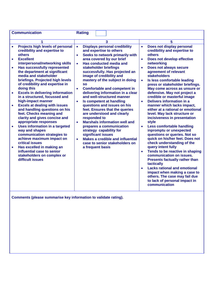| <b>Communication</b>                                                                                                                                                                                                                                                                                                                                                                                                                                                                                                    | <b>Rating</b>                                                                                                                                                                                                                                                                                                                                                                                                                                 |                                                                                                                                                                                                                                                                                                                                                                                                                                                                                                                                                                                                                                                                                                                                                                       |
|-------------------------------------------------------------------------------------------------------------------------------------------------------------------------------------------------------------------------------------------------------------------------------------------------------------------------------------------------------------------------------------------------------------------------------------------------------------------------------------------------------------------------|-----------------------------------------------------------------------------------------------------------------------------------------------------------------------------------------------------------------------------------------------------------------------------------------------------------------------------------------------------------------------------------------------------------------------------------------------|-----------------------------------------------------------------------------------------------------------------------------------------------------------------------------------------------------------------------------------------------------------------------------------------------------------------------------------------------------------------------------------------------------------------------------------------------------------------------------------------------------------------------------------------------------------------------------------------------------------------------------------------------------------------------------------------------------------------------------------------------------------------------|
| 1<br>Projects high levels of personal<br>$\bullet$<br>credibility and expertise to<br>others<br><b>Excellent</b><br>$\bullet$<br>interpersonal/networking skills<br><b>Has successfully represented</b><br>$\bullet$<br>the department at significant<br>media and stakeholder<br>briefings. Projected high levels<br>of credibility and expertise in<br>doing this<br><b>Excels in delivering information</b><br>$\bullet$                                                                                             | 3<br><b>Displays personal credibility</b><br>$\bullet$<br>and expertise to others<br>Seeks to network primarily with<br>$\bullet$<br>area covered by our brief<br><b>Has conducted media and</b><br>$\bullet$<br>stakeholder briefings<br>successfully. Has projected an<br>image of credibility and<br>mastery of the subject in doing<br><b>SO</b><br><b>Comfortable and competent in</b><br>$\bullet$<br>delivering information in a clear | 5<br>Does not display personal<br>$\bullet$<br>credibility and expertise to<br>others<br>Does not develop effective<br>$\bullet$<br>networking<br>Does not always secure<br>$\bullet$<br>agreement of relevant<br><b>stakeholders</b><br>Is less comfortable leading<br>$\bullet$<br>press or stakeholder briefings.<br>May come across as unsure or                                                                                                                                                                                                                                                                                                                                                                                                                  |
| in a structured, focussed and<br>high-impact manner<br><b>Excels at dealing with issues</b><br>$\bullet$<br>and handling questions on his<br>feet. Checks meaning and<br>clarity and gives concise and<br>appropriate responses<br><b>Uses information in a targeted</b><br>$\bullet$<br>way and shapes<br>communication strategies to<br>achieve maximum impact on<br><b>critical issues</b><br>Has excelled in making an<br>$\bullet$<br>influential case to senior<br>stakeholders on complex or<br>difficult issues | and well-structured manner<br>Is competent at handling<br>$\bullet$<br>questions and issues on his<br>feet. Ensures that the queries<br>are understood and clearly<br>responded to<br><b>Marshals information well and</b><br>$\bullet$<br>prepares a communication<br>strategy capability for<br>significant issues<br><b>Makes a credible and influential</b><br>$\bullet$<br>case to senior stakeholders on<br>a frequent basis            | defensive. May not project a<br>credible or masterful image<br><b>Delivers information in a</b><br>$\bullet$<br>manner which lacks impact,<br>either at a rational or emotional<br>level. May lack structure or<br>incisiveness in presentation<br>style<br><b>Less comfortable handling</b><br>$\bullet$<br>inpromptu or unexpected<br>questions or queries. Not so<br>quick on his/her feet. Does not<br>check understanding of the<br>query intent fully<br>Tends to be reactive in shaping<br>$\bullet$<br>communication on issues.<br><b>Presents factually rather than</b><br>tactically<br><b>Lacks rational and emotional</b><br>$\bullet$<br>impact when making a case to<br>others. The case may fail due<br>to lack of personal impact in<br>communication |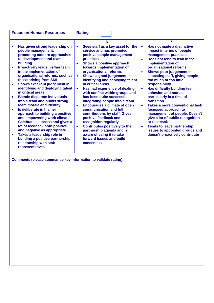| <b>Focus on Human Resources</b>                                                                                                                                                                                                                                                                                                                                                                                                                                                                                                                         | <b>Rating</b>                                                                                                                                                                                                                                                                                                                                                                                                                                                                                                                         |                                                                                                                                                                                                                                                                                                                                                                                                                                                 |
|---------------------------------------------------------------------------------------------------------------------------------------------------------------------------------------------------------------------------------------------------------------------------------------------------------------------------------------------------------------------------------------------------------------------------------------------------------------------------------------------------------------------------------------------------------|---------------------------------------------------------------------------------------------------------------------------------------------------------------------------------------------------------------------------------------------------------------------------------------------------------------------------------------------------------------------------------------------------------------------------------------------------------------------------------------------------------------------------------------|-------------------------------------------------------------------------------------------------------------------------------------------------------------------------------------------------------------------------------------------------------------------------------------------------------------------------------------------------------------------------------------------------------------------------------------------------|
|                                                                                                                                                                                                                                                                                                                                                                                                                                                                                                                                                         | 3                                                                                                                                                                                                                                                                                                                                                                                                                                                                                                                                     | 5                                                                                                                                                                                                                                                                                                                                                                                                                                               |
| Has given strong leadership on<br>people management,<br>promoting modern approaches<br>to development and team<br>building<br><b>Proactively leads his/her team</b><br>in the implementation of<br>organisational reforms, such as                                                                                                                                                                                                                                                                                                                      | Sees staff as a key asset for the<br>service and has promoted<br>positive people management<br>practices<br>Shows a positive approach<br>۰<br>towards implementation of<br>organisational reforms<br>Shows a good judgement in<br>$\bullet$                                                                                                                                                                                                                                                                                           | Has not made a distinctive<br>$\bullet$<br>impact in terms of people<br>management practices<br>Does not tend to lead in the<br>$\bullet$<br>implementation of<br>organisational reforms<br>Shows poor judgement in<br>$\bullet$<br>allocating staff, giving people                                                                                                                                                                             |
| those arising from SMI<br>Shows excellent judgement in<br>identifying and deploying talent<br>in critical areas<br><b>Blends disparate individuals</b><br>into a team and builds strong<br>team morale and identity<br>Is deliberate in his/her<br>approach to building a positive<br>and empowering work climate.<br><b>Celebrates success and gives a</b><br>lot of feedback both positive<br>and negative as appropriate<br>Takes a leadership role in<br>$\bullet$<br>building a positive partnership<br>relationship with staff<br>representatives | identifying and deploying talent<br>in critical areas<br>Has had experience of dealing<br>$\bullet$<br>with conflict within groups and<br>has been quite successful<br>integrating people into a team<br><b>Encourages a climate of open</b><br>$\bullet$<br>communication and full<br>contributions by staff. Gives<br>positive feedback and<br>recognition regularly<br><b>Contributes positively to the</b><br>$\bullet$<br>partnership agenda and is<br>aware of using it to take<br>forward issues and build<br><b>concensus</b> | too much or too little<br>responsibility<br>Has difficulty building team<br>$\bullet$<br>cohesion and morale<br>particularly in a time of<br>transition<br><b>Takes a more conventional task</b><br>$\bullet$<br>focussed approach to<br>management of people. Doesn't<br>give a lot of public recognition<br>or feedback<br><b>Tends to leave partnership</b><br>$\bullet$<br>issues to appointed groups and<br>doesn't proactively contribute |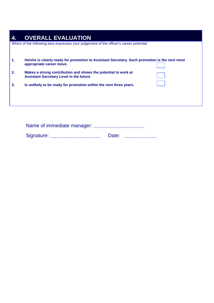| 4. | <b>OVERALL EVALUATION</b>                                                                                                 |
|----|---------------------------------------------------------------------------------------------------------------------------|
|    | Which of the following best expresses your judgement of the officer's career potential.                                   |
| 1. | He/she is clearly ready for promotion to Assistant Secretary. Such promotion is the next most<br>appropriate career move. |
| 2. | Makes a strong contribution and shows the potential to work at<br><b>Assistant Secretary Level in the future.</b>         |
| 3. | Is unlikely to be ready for promotion within the next three years.                                                        |
|    |                                                                                                                           |

| Name of immediate manager: |       |  |
|----------------------------|-------|--|
| Signature:                 | Date: |  |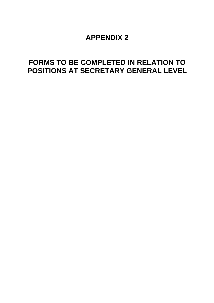### **APPENDIX 2**

# **FORMS TO BE COMPLETED IN RELATION TO POSITIONS AT SECRETARY GENERAL LEVEL**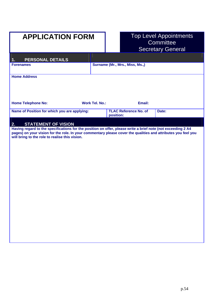# **APPLICATION FORM**

# Top Level Appointments<br>Committee **Secretary General**

| PERSONAL DETAILS<br>1.                                                                                                                                                                                                                                                          |                       |                                           |        |       |
|---------------------------------------------------------------------------------------------------------------------------------------------------------------------------------------------------------------------------------------------------------------------------------|-----------------------|-------------------------------------------|--------|-------|
| <b>Forenames</b>                                                                                                                                                                                                                                                                |                       | Surname (Mr., Mrs., Miss, Ms.,)           |        |       |
| <b>Home Address</b>                                                                                                                                                                                                                                                             |                       |                                           |        |       |
| <b>Home Telephone No:</b>                                                                                                                                                                                                                                                       | <b>Work Tel. No.:</b> |                                           | Email: |       |
| Name of Position for which you are applying:                                                                                                                                                                                                                                    |                       | <b>TLAC Reference No. of</b><br>position: |        | Date: |
| <b>STATEMENT OF VISION</b><br>2.                                                                                                                                                                                                                                                |                       |                                           |        |       |
| Having regard to the specifications for the position on offer, please write a brief note (not exceeding 2 A4<br>pages) on your vision for the role. In your commentary please cover the qualities and attributes you feel you<br>will bring to the role to realise this vision. |                       |                                           |        |       |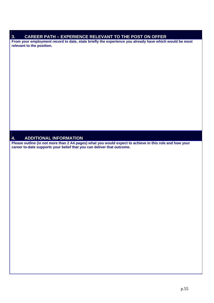### **3. CAREER PATH – EXPERIENCE RELEVANT TO THE POST ON OFFER**

**From your employment record to date, state briefly the experience you already have which would be most relevant to the position.** 

#### **4. ADDITIONAL INFORMATION**

**Please outline (in not more than 2 A4 pages) what you would expect to achieve in this role and how your career to-date supports your belief that you can deliver that outcome.**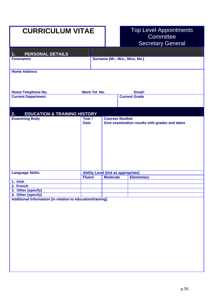| <b>CURRICULUM VITAE</b>                                                          |                      |                        |                                            | <b>Top Level Appointments</b>                  |
|----------------------------------------------------------------------------------|----------------------|------------------------|--------------------------------------------|------------------------------------------------|
|                                                                                  |                      |                        |                                            | Committee                                      |
|                                                                                  |                      |                        |                                            | <b>Secretary General</b>                       |
|                                                                                  |                      |                        |                                            |                                                |
| PERSONAL DETAILS<br>1.                                                           |                      |                        |                                            |                                                |
| <b>Forenames</b>                                                                 |                      |                        | Surname (Mr., Mrs., Miss, Ms.)             |                                                |
|                                                                                  |                      |                        |                                            |                                                |
| <b>Home Address</b>                                                              |                      |                        |                                            |                                                |
|                                                                                  |                      |                        |                                            |                                                |
|                                                                                  |                      |                        |                                            |                                                |
|                                                                                  |                      |                        |                                            |                                                |
| <b>Home Telephone No.</b>                                                        | <b>Work Tel. No.</b> |                        | <b>Current Grade</b>                       | Email:                                         |
| <b>Current Department</b>                                                        |                      |                        |                                            |                                                |
|                                                                                  |                      |                        |                                            |                                                |
|                                                                                  |                      |                        |                                            |                                                |
| 2.<br><b>EDUCATION &amp; TRAINING HISTORY</b><br><b>Examining Body</b>           | Year /               | <b>Courses Studied</b> |                                            |                                                |
|                                                                                  | <b>Date</b>          |                        |                                            | Give examination results with grades and dates |
|                                                                                  |                      |                        |                                            |                                                |
|                                                                                  |                      |                        |                                            |                                                |
|                                                                                  |                      |                        |                                            |                                                |
|                                                                                  |                      |                        |                                            |                                                |
|                                                                                  |                      |                        |                                            |                                                |
|                                                                                  |                      |                        |                                            |                                                |
|                                                                                  |                      |                        |                                            |                                                |
|                                                                                  |                      |                        |                                            |                                                |
| <b>Language Skills:</b>                                                          |                      |                        | <b>Ability Level (tick as appropriate)</b> |                                                |
|                                                                                  | <b>Fluent</b>        | <b>Moderate</b>        |                                            | <b>Elementary</b>                              |
| 1. Irish                                                                         |                      |                        |                                            |                                                |
| 2. French                                                                        |                      |                        |                                            |                                                |
| 3. Other (specify)                                                               |                      |                        |                                            |                                                |
| 4. Other (specify)<br>Additional Information [in relation to education/training] |                      |                        |                                            |                                                |
|                                                                                  |                      |                        |                                            |                                                |
|                                                                                  |                      |                        |                                            |                                                |
|                                                                                  |                      |                        |                                            |                                                |
|                                                                                  |                      |                        |                                            |                                                |
|                                                                                  |                      |                        |                                            |                                                |
|                                                                                  |                      |                        |                                            |                                                |
|                                                                                  |                      |                        |                                            |                                                |
|                                                                                  |                      |                        |                                            |                                                |
|                                                                                  |                      |                        |                                            |                                                |
|                                                                                  |                      |                        |                                            |                                                |
|                                                                                  |                      |                        |                                            |                                                |
|                                                                                  |                      |                        |                                            |                                                |
|                                                                                  |                      |                        |                                            |                                                |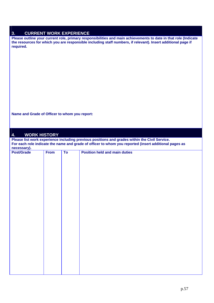| .J. | <b>CURRENT WORK EXPERIENCE</b> |
|-----|--------------------------------|
|     |                                |

**Please outline your current role, primary responsibilities and main achievements to date in that role (Indicate the resources for which you are responsible including staff numbers, if relevant). Insert additional page if required.** 

**Name and Grade of Officer to whom you report:** 

#### **4. WORK HISTORY**

**Please list work experience including previous positions and grades within the Civil Service. For each role indicate the name and grade of officer to whom you reported (insert additional pages as necessary).** 

| <b>Post/Grade</b> | From | To | <b>Position held and main duties</b> |
|-------------------|------|----|--------------------------------------|
|                   |      |    |                                      |
|                   |      |    |                                      |
|                   |      |    |                                      |
|                   |      |    |                                      |
|                   |      |    |                                      |
|                   |      |    |                                      |
|                   |      |    |                                      |
|                   |      |    |                                      |
|                   |      |    |                                      |
|                   |      |    |                                      |
|                   |      |    |                                      |
|                   |      |    |                                      |
|                   |      |    |                                      |
|                   |      |    |                                      |
|                   |      |    |                                      |
|                   |      |    |                                      |
|                   |      |    |                                      |
|                   |      |    |                                      |
|                   |      |    |                                      |
|                   |      |    |                                      |
|                   |      |    |                                      |
|                   |      |    |                                      |
|                   |      |    |                                      |
|                   |      |    |                                      |
|                   |      |    |                                      |
|                   |      |    |                                      |
|                   |      |    |                                      |
|                   |      |    |                                      |
|                   |      |    |                                      |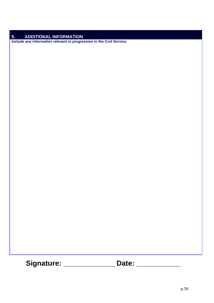### **5. ADDITIONAL INFORMATION**

**Include any information relevant to progression in the Civil Service.** 

**Signature: \_\_\_\_\_\_\_\_\_\_\_\_\_ Date: \_\_\_\_\_\_\_\_\_\_\_**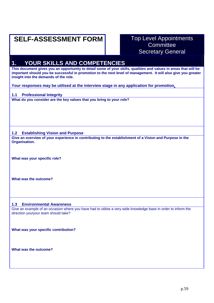# **SELF-ASSESSMENT FORM** Top Level Appointments

# **Committee** Secretary General

### **1. YOUR SKILLS AND COMPETENCIES**

**This document gives you an opportunity to detail some of your skills, qualities and values in areas that will be important should you be successful in promotion to the next level of management. It will also give you greater insight into the demands of the role.** 

**Your responses may be utilised at the interview stage in any application for promotion.**

#### **1.1 Professional Integrity**

**What do you consider are the key values that you bring to your role?** 

#### **1.2 Establishing Vision and Purpose**

**Give an overview of your experience in contributing to the establishment of a Vision and Purpose in the Organisation.** 

**What was your specific role?** 

**What was the outcome?**

#### **1.3 Environmental Awareness**

Give an example of an occasion where you have had to utilise a very wide knowledge base in order to inform the direction you/your team should take?

**What was your specific contribution?** 

**What was the outcome?**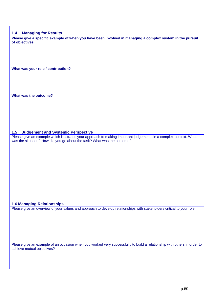#### **1.4 Managing for Results**

**Please give a specific example of when you have been involved in managing a complex system in the pursuit of objectives** 

**What was your role / contribution?** 

**What was the outcome?** 

#### **1.5 Judgement and Systemic Perspective**

Please give an example which illustrates your approach to making important judgements in a complex context. What was the situation? How did you go about the task? What was the outcome?

#### **1.6 Managing Relationships**

Please give an overview of your values and approach to develop relationships with stakeholders critical to your role.

Please give an example of an occasion when you worked very successfully to build a relationship with others in order to achieve mutual objectives?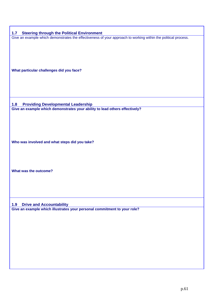| 1.7<br><b>Steering through the Political Environment</b>                                                           |
|--------------------------------------------------------------------------------------------------------------------|
| Give an example which demonstrates the effectiveness of your approach to working within the political process.     |
|                                                                                                                    |
|                                                                                                                    |
|                                                                                                                    |
|                                                                                                                    |
|                                                                                                                    |
| What particular challenges did you face?                                                                           |
|                                                                                                                    |
|                                                                                                                    |
|                                                                                                                    |
|                                                                                                                    |
| <b>Providing Developmental Leadership</b><br>1.8                                                                   |
| Give an example which demonstrates your ability to lead others effectively?                                        |
|                                                                                                                    |
|                                                                                                                    |
|                                                                                                                    |
|                                                                                                                    |
|                                                                                                                    |
| Who was involved and what steps did you take?                                                                      |
|                                                                                                                    |
|                                                                                                                    |
|                                                                                                                    |
|                                                                                                                    |
| What was the outcome?                                                                                              |
|                                                                                                                    |
|                                                                                                                    |
|                                                                                                                    |
|                                                                                                                    |
|                                                                                                                    |
| <b>Drive and Accountability</b><br>1.9<br>Give an example which illustrates your personal commitment to your role? |
|                                                                                                                    |
|                                                                                                                    |
|                                                                                                                    |
|                                                                                                                    |
|                                                                                                                    |
|                                                                                                                    |
|                                                                                                                    |
|                                                                                                                    |
|                                                                                                                    |
|                                                                                                                    |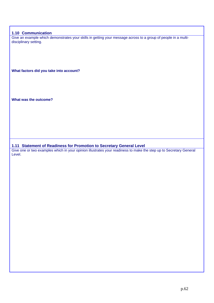#### **1.10 Communication**

Give an example which demonstrates your skills in getting your message across to a group of people in a multidisciplinary setting.

**What factors did you take into account?** 

**What was the outcome?** 

**1.11 Statement of Readiness for Promotion to Secretary General Level** 

Give one or two examples which in your opinion illustrates your readiness to make the step up to Secretary General Level.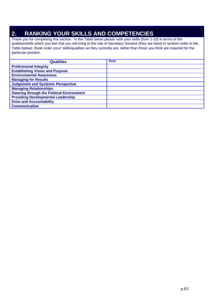### **2. RANKING YOUR SKILLS AND COMPETENCIES**

Thank you for completing this section. In the Table below please rank your skills (from 1-10) in terms of the qualities/skills which you feel that you will bring to the role of Secretary General (they are listed in random order in the Table below). Rank order your skills/qualities as they currently are, rather than those you think are required for the particular position.

| <b>Qualities</b>                                  | <b>Rank</b> |
|---------------------------------------------------|-------------|
| <b>Professional Integrity</b>                     |             |
| <b>Establishing Vision and Purpose</b>            |             |
| <b>Environmental Awareness</b>                    |             |
| <b>Managing for Results</b>                       |             |
| <b>Judgement and Systemic Perspective</b>         |             |
| <b>Managing Relationships</b>                     |             |
| <b>Steering through the Political Environment</b> |             |
| <b>Providing Developmental Leadership</b>         |             |
| <b>Drive and Accountability</b>                   |             |
| <b>Communication</b>                              |             |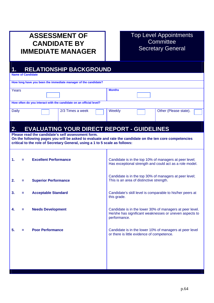## **ASSESSMENT OF CANDIDATE BY IMMEDIATE MANAGER**

### Top Level Appointments **Committee** Secretary General

### **1. RELATIONSHIP BACKGROUND**

**Name of Candidate** 

|                                                                    | How long have you been the immediate manager of the candidate? |               |                       |  |
|--------------------------------------------------------------------|----------------------------------------------------------------|---------------|-----------------------|--|
| Years                                                              |                                                                | <b>Months</b> |                       |  |
|                                                                    |                                                                |               |                       |  |
| How often do you interact with the candidate on an official level? |                                                                |               |                       |  |
| <b>Daily</b>                                                       | 2/3 Times a week                                               | Weekly        | Other (Please state). |  |

### **2. EVALUATING YOUR DIRECT REPORT - GUIDELINES**

**Please read the candidate's self assessment form.** 

**On the following pages you will be asked to evaluate and rate the candidate on the ten core competencies critical to the role of Secretary General, using a 1 to 5 scale as follows:** 

| 1. | = | <b>Excellent Performance</b> | Candidate is in the top 10% of managers at peer level;<br>Has exceptional strength and could act as a role model.                  |
|----|---|------------------------------|------------------------------------------------------------------------------------------------------------------------------------|
| 2. | Ξ | <b>Superior Performance</b>  | Candidate is in the top 30% of managers at peer level;<br>This is an area of distinctive strength.                                 |
| 3. | Ξ | <b>Acceptable Standard</b>   | Candidate's skill level is comparable to his/her peers at<br>this grade.                                                           |
| 4. | = | <b>Needs Development</b>     | Candidate is in the lower 30% of managers at peer level.<br>He/she has significant weaknesses or uneven aspects to<br>performance. |
| 5. | = | <b>Poor Performance</b>      | Candidate is in the lower 10% of managers at peer level<br>or there is little evidence of competence.                              |
|    |   |                              |                                                                                                                                    |
|    |   |                              |                                                                                                                                    |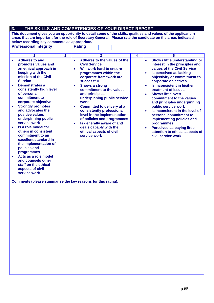#### **3. THE SKILLS AND COMPETENCIES OF YOUR DIRECT REPORT**

**This document gives you an opportunity to detail some of the skills, qualities and values of the applicant in areas that are important for the role of Secretary General. Please rate the candidate on the areas indicated below recording key comments as appropriate.**

**Professional Integrity Constructs** Rating **1 2 1 2 3 4 1 5** • **Adheres to and promotes values and an ethical approach in keeping with the mission of the Civil Service**  • **Demonstrates a consistently high level of personal commitment to corporate objective**  • **Adheres to the values of the Civil Service**  • **Will work hard to ensure programmes within the corporate framework are successful**  • **Shows a strong commitment to the values and principles underpinning public service work** 

- **Committed to delivery at a consistently professional level in the implementation of policies and programmes**
- **Is generally aware of and deals capably with the ethical aspects of civil service work**

**Comments (please summarise the key reasons for this rating).** 

• **Strongly promotes and advocates the positive values underpinning public** 

**service work**  • **Is a role model for others in consistent commitment to an excellent standard in the implementation of** 

**policies and programmes** 

• **Acts as a role model and counsels other staff on the ethical aspects of civil service work** 

• **Shows little understanding or interest in the principles and values of the Civil Service** 

**objectivity or commitment to** 

**commitment to the values and principles underpinning** 

• **Is perceived as lacking** 

**corporate objectives**  • **Is inconsistent in his/her treatment of issues**  • **Shows little overt** 

**public service work**  • **Is inconsistent in the level of personal commitment to implementing policies and** 

• **Perceived as paying little** 

**civil service work** 

**attention to ethical aspects of** 

**programmes**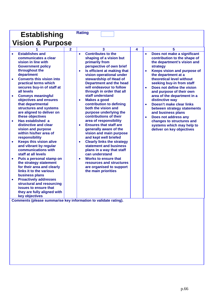| <b>Establishing</b>                                                                                                                                                                                                                                                                                                                                                                                                                                                                                                                                                                                                                                                                                                                                                                                                                                                                     | <b>Rating</b>                                                                                                                                                                                                                                                                                                                                                                                                                                                                                                                                                                                                                                                                                                                                                                                                                                                                           |   |                                                                                                                                                                                                                                                                                                                                                                                                                                                                                                                                                                                                     |
|-----------------------------------------------------------------------------------------------------------------------------------------------------------------------------------------------------------------------------------------------------------------------------------------------------------------------------------------------------------------------------------------------------------------------------------------------------------------------------------------------------------------------------------------------------------------------------------------------------------------------------------------------------------------------------------------------------------------------------------------------------------------------------------------------------------------------------------------------------------------------------------------|-----------------------------------------------------------------------------------------------------------------------------------------------------------------------------------------------------------------------------------------------------------------------------------------------------------------------------------------------------------------------------------------------------------------------------------------------------------------------------------------------------------------------------------------------------------------------------------------------------------------------------------------------------------------------------------------------------------------------------------------------------------------------------------------------------------------------------------------------------------------------------------------|---|-----------------------------------------------------------------------------------------------------------------------------------------------------------------------------------------------------------------------------------------------------------------------------------------------------------------------------------------------------------------------------------------------------------------------------------------------------------------------------------------------------------------------------------------------------------------------------------------------------|
| <b>Vision &amp; Purpose</b>                                                                                                                                                                                                                                                                                                                                                                                                                                                                                                                                                                                                                                                                                                                                                                                                                                                             |                                                                                                                                                                                                                                                                                                                                                                                                                                                                                                                                                                                                                                                                                                                                                                                                                                                                                         |   |                                                                                                                                                                                                                                                                                                                                                                                                                                                                                                                                                                                                     |
|                                                                                                                                                                                                                                                                                                                                                                                                                                                                                                                                                                                                                                                                                                                                                                                                                                                                                         | 3                                                                                                                                                                                                                                                                                                                                                                                                                                                                                                                                                                                                                                                                                                                                                                                                                                                                                       | 4 | 5                                                                                                                                                                                                                                                                                                                                                                                                                                                                                                                                                                                                   |
| <b>Establishes and</b><br>$\bullet$<br>communicates a clear<br>vision in line with<br><b>Government policy</b><br>throughout the<br>department<br><b>Converts this vision into</b><br>$\bullet$<br>practical terms which<br>secures buy-in of staff at<br>all levels<br><b>Conveys meaningful</b><br>$\bullet$<br>objectives and ensures<br>that departmental<br>structures and systems<br>are aligned to deliver on<br>these objectives<br>Has established a<br>$\bullet$<br>distinctive and clear<br>vision and purpose<br>within his/her area of<br>responsibility<br><b>Keeps this vision alive</b><br>$\bullet$<br>and vibrant by regular<br>communications with<br>staff at all levels<br>Puts a personal stamp on<br>$\bullet$<br>the strategy statement<br>for their area and clearly<br>links it to the various<br>business plans<br><b>Proactively addresses</b><br>$\bullet$ | <b>Contributes to the</b><br>$\bullet$<br>shaping of a vision but<br>primarily from<br>perspective of own brief<br>Is efficient at making that<br>$\bullet$<br>vision operational under<br>stewardship of Head of<br><b>Department and the head</b><br>will endeavour to follow<br>through in order that all<br>staff understand<br><b>Makes a good</b><br>$\bullet$<br>contribution to defining<br>both the vision and<br>purpose underlying the<br>contributions of their<br>area of responsibility<br><b>Ensures that staff are</b><br>$\bullet$<br>generally aware of the<br>vision and main purpose<br>and kept well briefed<br><b>Clearly links the strategy</b><br>$\bullet$<br>statement and business<br>plans in a way that staff<br>can understand<br><b>Works to ensure that</b><br>$\bullet$<br>resources and structures<br>are organised to support<br>the main priorities |   | Does not make a significant<br>$\bullet$<br>contribution to the shape of<br>the department's vision and<br>strategy<br>Keeps vision and purpose of<br>$\bullet$<br>the department at a<br>theoretical level without<br>seeking buy-in from staff<br>Does not define the vision<br>$\bullet$<br>and purpose of their own<br>area of the department in a<br>distinctive way<br>Doesn't make clear links<br>$\bullet$<br>between strategy statements<br>and business plans<br>Does not address any<br>$\bullet$<br>changes to structures and<br>systems which may help to<br>deliver on key objectives |
| structural and resourcing<br>issues to ensure that<br>they are fully aligned with                                                                                                                                                                                                                                                                                                                                                                                                                                                                                                                                                                                                                                                                                                                                                                                                       |                                                                                                                                                                                                                                                                                                                                                                                                                                                                                                                                                                                                                                                                                                                                                                                                                                                                                         |   |                                                                                                                                                                                                                                                                                                                                                                                                                                                                                                                                                                                                     |
| key objectives                                                                                                                                                                                                                                                                                                                                                                                                                                                                                                                                                                                                                                                                                                                                                                                                                                                                          |                                                                                                                                                                                                                                                                                                                                                                                                                                                                                                                                                                                                                                                                                                                                                                                                                                                                                         |   |                                                                                                                                                                                                                                                                                                                                                                                                                                                                                                                                                                                                     |
| Comments (please summarise key information to validate rating).                                                                                                                                                                                                                                                                                                                                                                                                                                                                                                                                                                                                                                                                                                                                                                                                                         |                                                                                                                                                                                                                                                                                                                                                                                                                                                                                                                                                                                                                                                                                                                                                                                                                                                                                         |   |                                                                                                                                                                                                                                                                                                                                                                                                                                                                                                                                                                                                     |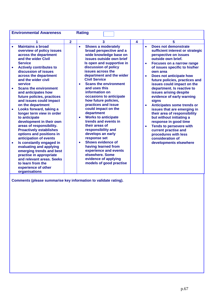| <b>Environmental Awareness</b>                                                                                                                                                                                                                                                                                                                                                                                                                                                                                                                                                                                                                                                                                                                                                            |                | <b>Rating</b>                                                                                                                                                                                                                                                                                                                                                                                                                                                                                                                                                                                                                                                                                                    |   |                                                                                                                                                                                                                                                                                                                                                                                                                                                                                                                                                                                                                                                                                                                                             |
|-------------------------------------------------------------------------------------------------------------------------------------------------------------------------------------------------------------------------------------------------------------------------------------------------------------------------------------------------------------------------------------------------------------------------------------------------------------------------------------------------------------------------------------------------------------------------------------------------------------------------------------------------------------------------------------------------------------------------------------------------------------------------------------------|----------------|------------------------------------------------------------------------------------------------------------------------------------------------------------------------------------------------------------------------------------------------------------------------------------------------------------------------------------------------------------------------------------------------------------------------------------------------------------------------------------------------------------------------------------------------------------------------------------------------------------------------------------------------------------------------------------------------------------------|---|---------------------------------------------------------------------------------------------------------------------------------------------------------------------------------------------------------------------------------------------------------------------------------------------------------------------------------------------------------------------------------------------------------------------------------------------------------------------------------------------------------------------------------------------------------------------------------------------------------------------------------------------------------------------------------------------------------------------------------------------|
| 1                                                                                                                                                                                                                                                                                                                                                                                                                                                                                                                                                                                                                                                                                                                                                                                         | $\overline{2}$ | 3                                                                                                                                                                                                                                                                                                                                                                                                                                                                                                                                                                                                                                                                                                                | 4 | 5                                                                                                                                                                                                                                                                                                                                                                                                                                                                                                                                                                                                                                                                                                                                           |
| <b>Maintains a broad</b><br>$\bullet$<br>overview of policy issues<br>across the department<br>and the wider Civil<br><b>Service</b><br><b>Actively contributes to</b><br>$\bullet$<br>discussion of issues<br>across the department<br>and the wider civil<br>service<br><b>Scans the environment</b><br>$\bullet$<br>and anticipates how<br>future policies, practices<br>and issues could impact<br>on the department<br>Looks forward, taking a<br>$\bullet$<br>longer term view in order<br>to anticipate<br>development in their own<br>areas of responsibility.<br><b>Proactively establishes</b><br>options and positions in<br>anticipation of events<br>Is constantly engaged in<br>$\bullet$<br>evaluating and applying<br>emerging trends and best<br>practise in appropriate |                | <b>Shows a moderately</b><br>$\bullet$<br>broad perspective and a<br>wide knowledge base on<br>issues outside own brief<br>Is open and supportive in<br>discussion of policy<br>issues across the<br>department and the wider<br><b>Civil Service</b><br><b>Scans the environment</b><br>$\bullet$<br>and uses this<br>information on<br>occasions to anticipate<br>how future policies,<br>practices and issue<br>could impact on the<br>department<br><b>Works to anticipate</b><br>$\bullet$<br>trends and events in<br>their areas of<br>responsibility and<br>develops an early<br>response set<br><b>Shows evidence of</b><br>$\bullet$<br>having learned from<br>experience and events<br>elsewhere. Some |   | <b>Does not demonstrate</b><br>$\bullet$<br>sufficient interest or strategic<br>perspective on issues<br>outside own brief.<br><b>Focuses on a narrow range</b><br>$\bullet$<br>of issues specific to his/her<br>own area<br>Does not anticipate how<br>$\bullet$<br>future policies, practices and<br>issues could impact on the<br>department. Is reactive to<br>issues arising despite<br>evidence of early warning<br>signs<br>Anticipates some trends or<br>$\bullet$<br>issues that are emerging in<br>their area of responsibility<br>but without initiating a<br>response in good time<br><b>Tends to persevere with</b><br>$\bullet$<br>current practise and<br>procedures with less<br>consideration of<br>developments elsewhere |
| and relevant areas. Seeks<br>to learn from the                                                                                                                                                                                                                                                                                                                                                                                                                                                                                                                                                                                                                                                                                                                                            |                | evidence of applying<br>models of good practise                                                                                                                                                                                                                                                                                                                                                                                                                                                                                                                                                                                                                                                                  |   |                                                                                                                                                                                                                                                                                                                                                                                                                                                                                                                                                                                                                                                                                                                                             |
| experience of other<br>organisations                                                                                                                                                                                                                                                                                                                                                                                                                                                                                                                                                                                                                                                                                                                                                      |                |                                                                                                                                                                                                                                                                                                                                                                                                                                                                                                                                                                                                                                                                                                                  |   |                                                                                                                                                                                                                                                                                                                                                                                                                                                                                                                                                                                                                                                                                                                                             |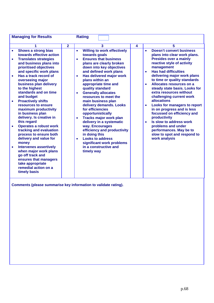| <b>Managing for Results</b>                                                                                                                                                                                                                                                                                                                                                                                                                                                                                                                                                                                                                                                                                                                                |                | <b>Rating</b>                                                                                                                                                                                                                                                                                                                                                                                                                                                                                                                                                                                                                                                                                                                  |   |                                                                                                                                                                                                                                                                                                                                                                                                                                                                                                                                                                                                                                                        |
|------------------------------------------------------------------------------------------------------------------------------------------------------------------------------------------------------------------------------------------------------------------------------------------------------------------------------------------------------------------------------------------------------------------------------------------------------------------------------------------------------------------------------------------------------------------------------------------------------------------------------------------------------------------------------------------------------------------------------------------------------------|----------------|--------------------------------------------------------------------------------------------------------------------------------------------------------------------------------------------------------------------------------------------------------------------------------------------------------------------------------------------------------------------------------------------------------------------------------------------------------------------------------------------------------------------------------------------------------------------------------------------------------------------------------------------------------------------------------------------------------------------------------|---|--------------------------------------------------------------------------------------------------------------------------------------------------------------------------------------------------------------------------------------------------------------------------------------------------------------------------------------------------------------------------------------------------------------------------------------------------------------------------------------------------------------------------------------------------------------------------------------------------------------------------------------------------------|
|                                                                                                                                                                                                                                                                                                                                                                                                                                                                                                                                                                                                                                                                                                                                                            | $\overline{2}$ | 3                                                                                                                                                                                                                                                                                                                                                                                                                                                                                                                                                                                                                                                                                                                              | 4 | 5                                                                                                                                                                                                                                                                                                                                                                                                                                                                                                                                                                                                                                                      |
| <b>Shows a strong bias</b><br>towards effective action<br><b>Translates strategies</b><br>$\bullet$<br>and business plans into<br>prioritised objectives<br>and specific work plans<br>Has a track record of<br>overseeing major<br>business plan delivery<br>to the highest<br>standards and on time<br>and budget<br><b>Proactively shifts</b><br>resources to ensure<br>maximum productivity<br>in business plan<br>delivery. Is creative in<br>this regard<br><b>Operates a robust work</b><br>tracking and evaluation<br>process to ensure both<br>delivery and value for<br>money<br><b>Intervenes assertively</b><br>when major work plans<br>go off track and<br>ensures that managers<br>take appropriate<br>remedial action on a<br>timely basis |                | <b>Willing to work effectively</b><br>$\bullet$<br>towards goals<br><b>Ensures that business</b><br>$\bullet$<br>plans are clearly broken<br>down into key objectives<br>and defined work plans<br>Has delivered major work<br>$\bullet$<br>plans within an<br>appropriate time and<br>quality standard<br><b>Generally allocates</b><br>$\bullet$<br>resources to meet the<br>main business plan<br>delivery demands. Looks<br>for efficiencies<br>opportunistically<br><b>Tracks major work plan</b><br>$\bullet$<br>delivery in a systematic<br>way. Encourages<br>efficiency and productivity<br>in doing this<br><b>Looks to address</b><br>$\bullet$<br>significant work problems<br>in a constructive and<br>timely way |   | <b>Doesn't convert business</b><br>$\bullet$<br>plans into clear work plans.<br><b>Presides over a mainly</b><br>reactive style of activity<br>management<br><b>Has had difficulties</b><br>delivering major work plans<br>to time or quality standards<br>Allocates resources on a<br>steady state basis. Looks for<br>extra resources without<br>challenging current work<br>allocations<br><b>Looks for managers to report</b><br>in on progress and is less<br>focussed on efficiency and<br>productivity<br>Is slow to address work<br>$\bullet$<br>problems and under<br>performances. May be to<br>slow to spot and respond to<br>work analysis |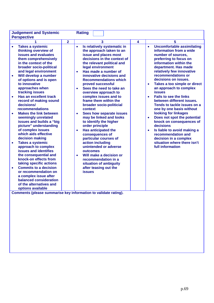| <b>Judgement and Systemic</b><br><b>Perspective</b>                                                                                                                                                                                                                                                                                                                                                                                                                                                                                                                                                                                                                                                                                                                                                                                                                                                                                          |                                                                            | <b>Rating</b>                                                                                                                                                                                                                                                                                                                                                                                                                                                                                                                                                                                                                                                                                                                                                                         |   |                                                                                                                                                                                                                                                                                                                                                                                                                                                                                                                                                                                                                                                                                                                                                 |
|----------------------------------------------------------------------------------------------------------------------------------------------------------------------------------------------------------------------------------------------------------------------------------------------------------------------------------------------------------------------------------------------------------------------------------------------------------------------------------------------------------------------------------------------------------------------------------------------------------------------------------------------------------------------------------------------------------------------------------------------------------------------------------------------------------------------------------------------------------------------------------------------------------------------------------------------|----------------------------------------------------------------------------|---------------------------------------------------------------------------------------------------------------------------------------------------------------------------------------------------------------------------------------------------------------------------------------------------------------------------------------------------------------------------------------------------------------------------------------------------------------------------------------------------------------------------------------------------------------------------------------------------------------------------------------------------------------------------------------------------------------------------------------------------------------------------------------|---|-------------------------------------------------------------------------------------------------------------------------------------------------------------------------------------------------------------------------------------------------------------------------------------------------------------------------------------------------------------------------------------------------------------------------------------------------------------------------------------------------------------------------------------------------------------------------------------------------------------------------------------------------------------------------------------------------------------------------------------------------|
|                                                                                                                                                                                                                                                                                                                                                                                                                                                                                                                                                                                                                                                                                                                                                                                                                                                                                                                                              | $\overline{2}$                                                             | 3                                                                                                                                                                                                                                                                                                                                                                                                                                                                                                                                                                                                                                                                                                                                                                                     | 4 | 5                                                                                                                                                                                                                                                                                                                                                                                                                                                                                                                                                                                                                                                                                                                                               |
| <b>Takes a systemic</b><br>$\bullet$<br>thinking overview of<br>issues and evaluates<br>them comprehensively<br>in the context of the<br>broader socio-political<br>and legal environment<br>Will develop a number<br>$\bullet$<br>of options and is open<br>to innovative<br>approaches when<br>tracking issues<br><b>Has an excellent track</b><br>$\bullet$<br>record of making sound<br>decisions/<br>recommendations<br><b>Makes the link between</b><br>$\bullet$<br>seemingly unrelated<br>issues and builds a "big<br>picture" understanding<br>of complex issues<br>which aids effective<br>decision making<br><b>Takes a systemic</b><br>$\bullet$<br>approach to complex<br>issues and identifies<br>the consequential and<br>knock-on effects from<br>taking specific actions<br><b>Commits to a decision</b><br>$\bullet$<br>or recommendation on<br>a complex issue after<br>balanced consideration<br>of the alternatives and | $\bullet$<br>$\bullet$<br>$\bullet$<br>$\bullet$<br>$\bullet$<br>$\bullet$ | Is relatively systematic in<br>the approach taken to an<br>issue and places most<br>decisions in the context of<br>the relevant political and<br>legal environment<br>Has made a number of<br>innovative decisions and<br><b>Recommendations which</b><br>proved successful<br>Sees the need to take an<br>overview approach to<br>complex issues and to<br>frame them within the<br>broader socio-politicial<br>context<br>Sees how separate issues<br>may be linked and looks<br>to identify the higher<br>order principle<br><b>Has anticipated the</b><br>consequences of<br>particular courses of<br>action including<br>unintended or adverse<br>outcomes<br>Will make a decision or<br>recommendation in a<br>situation of ambiguity<br>after teasing out the<br><b>issues</b> |   | <b>Uncomfortable assimilating</b><br>$\bullet$<br>information from a wide<br>number of sources.<br>preferring to focus on<br>information within the<br>department. Has made<br>relatively few innovative<br>recommendations or<br>decisions on issues.<br>Takes a too simple or direct<br>$\bullet$<br>an approach to complex<br><b>issues</b><br><b>Fails to see the links</b><br>$\bullet$<br>between different issues.<br>Tends to tackle issues on a<br>one by one basis without<br>looking for linkages<br>Does not spot the potential<br>$\bullet$<br>knock on consequences of<br>decisions<br>Is liable to avoid making a<br>$\bullet$<br>recommendation and<br>decision in a complex<br>situation where there isn't<br>full information |
| options available<br>Comments (please summarise key information to validate rating).                                                                                                                                                                                                                                                                                                                                                                                                                                                                                                                                                                                                                                                                                                                                                                                                                                                         |                                                                            |                                                                                                                                                                                                                                                                                                                                                                                                                                                                                                                                                                                                                                                                                                                                                                                       |   |                                                                                                                                                                                                                                                                                                                                                                                                                                                                                                                                                                                                                                                                                                                                                 |
|                                                                                                                                                                                                                                                                                                                                                                                                                                                                                                                                                                                                                                                                                                                                                                                                                                                                                                                                              |                                                                            |                                                                                                                                                                                                                                                                                                                                                                                                                                                                                                                                                                                                                                                                                                                                                                                       |   |                                                                                                                                                                                                                                                                                                                                                                                                                                                                                                                                                                                                                                                                                                                                                 |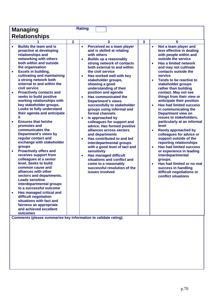| <b>Managing</b>                                                                                                                                                                                                                                                                 |                | <b>Rating</b>                                                                                                                                                                                                                                                 |                         |                                                                                                                                                                                                                           |  |
|---------------------------------------------------------------------------------------------------------------------------------------------------------------------------------------------------------------------------------------------------------------------------------|----------------|---------------------------------------------------------------------------------------------------------------------------------------------------------------------------------------------------------------------------------------------------------------|-------------------------|---------------------------------------------------------------------------------------------------------------------------------------------------------------------------------------------------------------------------|--|
| <b>Relationships</b>                                                                                                                                                                                                                                                            |                |                                                                                                                                                                                                                                                               |                         |                                                                                                                                                                                                                           |  |
|                                                                                                                                                                                                                                                                                 | $\overline{2}$ | 3                                                                                                                                                                                                                                                             | $\overline{\mathbf{3}}$ | 5                                                                                                                                                                                                                         |  |
| <b>Builds the team and is</b><br>proactive at developing<br>relationships and<br>networking with others<br>both within and outside<br>the organisation<br><b>Excels in building,</b><br>$\bullet$<br>cultivating and maintaining                                                |                | Perceived as a team player<br>$\bullet$<br>and is skilled at relating<br>with others<br><b>Builds up a reasonably</b><br>$\bullet$<br>strong network of contacts<br>both external to and within<br>the civil service<br>Has worked well with key<br>$\bullet$ |                         | Not a team player and<br>$\bullet$<br>less effective in dealing<br>with people within and<br>outside the service<br><b>Has a limited network</b><br>$\bullet$<br>and may not cultivate<br>contacts outside the<br>service |  |
| a strong network both<br>external to and within the<br>civil service<br><b>Proactively contacts and</b><br>$\bullet$                                                                                                                                                            |                | stakeholder groups,<br>showing a good<br>understanding of their<br>position and agenda                                                                                                                                                                        |                         | Tends to be reactive to<br>$\bullet$<br>stakeholder groups<br>rather than building<br>contact. May not see                                                                                                                |  |
| seeks to build positive<br>working relationships with<br>key stakeholder groups.<br><b>Looks to fully understand</b><br>their agenda and anticipate<br>it.                                                                                                                      |                | <b>Has communicated the</b><br>$\bullet$<br><b>Department's views</b><br>successfully to stakeholder<br>groups using informal and<br>formal channels<br>Is approached by<br>$\bullet$                                                                         |                         | things from their view or<br>anticipate their position<br><b>Has had limited success</b><br>$\bullet$<br>in communicating the<br><b>Department view on</b><br>issues to stakeholders,                                     |  |
| <b>Ensures that he/she</b><br>$\bullet$<br>promotes and<br>communicates the<br><b>Department's views by</b><br>regular contact and<br>exchange with stakeholder<br>groups                                                                                                       |                | colleagues for support and<br>advice. Has formed positive<br>alliances across sectors<br>and departments<br>Has contributed to and led<br>$\bullet$<br>interdepartmental groups<br>with a good level of tact and                                              |                         | particularly at an informal<br>level<br><b>Rarely approached by</b><br>$\bullet$<br>colleagues for advice or<br>support outside of the<br>reporting relationships<br><b>Has had limited success</b><br>$\bullet$          |  |
| <b>Proactively offers and</b><br>$\bullet$<br>receives support from<br>colleagues at a senior<br>level. Seeks to build<br>common cause and<br>alliances with other<br>sectors and departments.<br><b>Leads sensitive</b><br>interdepartmental groups<br>to a successful outcome |                | sensitivity<br><b>Has managed difficult</b><br>$\bullet$<br>situations and conflict and<br>come to a reasonably<br>successful resolution of the<br>issues involved                                                                                            |                         | or experience in leading<br>interdepartmental<br>groups.<br>Has had limited or no real<br>$\bullet$<br>success in handling<br>difficult negotiations or<br>conflict situations                                            |  |
| Has managed critical and<br>$\bullet$<br>difficult negotiation<br>situations with fact and<br>fairness as appropriate<br>and achieved excellent<br>outcomes<br>Comments (please summarise key information to validate rating).                                                  |                |                                                                                                                                                                                                                                                               |                         |                                                                                                                                                                                                                           |  |
|                                                                                                                                                                                                                                                                                 |                |                                                                                                                                                                                                                                                               |                         |                                                                                                                                                                                                                           |  |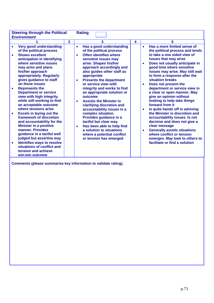| <b>Steering through the Political</b><br><b>Environment</b>                                                                                                                                                                                                                                                                                                                                                                                                                                                                                                                                                                                                     |                                                               | <b>Rating</b>                                                                                                                                                                                                                                                                                                                                                                                                                                                                                                                                                                                                                              |   |                                                                                                                                                                                                                                                                                                                                                                                                                                                                                                                                                                                                                                                                                                                            |
|-----------------------------------------------------------------------------------------------------------------------------------------------------------------------------------------------------------------------------------------------------------------------------------------------------------------------------------------------------------------------------------------------------------------------------------------------------------------------------------------------------------------------------------------------------------------------------------------------------------------------------------------------------------------|---------------------------------------------------------------|--------------------------------------------------------------------------------------------------------------------------------------------------------------------------------------------------------------------------------------------------------------------------------------------------------------------------------------------------------------------------------------------------------------------------------------------------------------------------------------------------------------------------------------------------------------------------------------------------------------------------------------------|---|----------------------------------------------------------------------------------------------------------------------------------------------------------------------------------------------------------------------------------------------------------------------------------------------------------------------------------------------------------------------------------------------------------------------------------------------------------------------------------------------------------------------------------------------------------------------------------------------------------------------------------------------------------------------------------------------------------------------------|
|                                                                                                                                                                                                                                                                                                                                                                                                                                                                                                                                                                                                                                                                 | $\mathbf{2}$                                                  | 3                                                                                                                                                                                                                                                                                                                                                                                                                                                                                                                                                                                                                                          | 4 | 5                                                                                                                                                                                                                                                                                                                                                                                                                                                                                                                                                                                                                                                                                                                          |
| <b>Very good understanding</b><br>of the political process<br><b>Shows excellent</b><br>anticipation in identifying<br>where sensitive issues<br>may arise and plans<br>his/her approach<br>appropriately. Regularly<br>gives guidance to staff<br>on these issues<br><b>Represents the</b><br><b>Department or service</b><br>view with high integrity<br>while still working to find<br>an acceptable outcome<br>where tensions arise<br><b>Excels in laying out the</b><br>$\bullet$<br>framework of discretion<br>and accountability for the<br><b>Minister in a positive</b><br>manner. Provides<br>guidance in a tactful well<br>judged but assertive way | $\bullet$<br>$\bullet$<br>$\bullet$<br>$\bullet$<br>$\bullet$ | Has a good understanding<br>of the political process<br><b>Often identifies where</b><br>sensitive issues may<br>arise. Shapes his/her<br>approach accordingly and<br>also guides other staff as<br>appropriate<br><b>Presents the department</b><br>or service view with<br>integrity and works to find<br>an appropriate solution or<br>outcome<br><b>Assists the Minister in</b><br>clarifying discretion and<br>accountability issues in a<br>complex situation.<br>Provides guidance in a<br>tactful but clear way.<br>Has been able to help find<br>a solution to situations<br>where a potential conflict<br>or tension has emerged |   | Has a more limited sense of<br>$\bullet$<br>the political process and tends<br>to take a one sided view of<br>issues that may arise<br>Does not usually anticipate in<br>good time where sensitive<br>issues may arise. May still wait<br>to form a response after the<br>situation breaks<br>Does not present the<br>department or service view in<br>a clear or open manner. May<br>give an opinion without<br>looking to help take things<br>forward from it<br>Is quite hands off in advising<br>the Minister in discretion and<br>accountability issues. Is not<br>decisive and does not give a<br>clear message<br><b>Generally avoids situations</b><br>where conflict or tension<br>emerges. May look to others to |
| <b>Identifies ways to resolve</b><br>$\bullet$<br>situations of conflict and<br>tension and achieve<br>win:win outcome                                                                                                                                                                                                                                                                                                                                                                                                                                                                                                                                          |                                                               |                                                                                                                                                                                                                                                                                                                                                                                                                                                                                                                                                                                                                                            |   | facilitate or find a solution                                                                                                                                                                                                                                                                                                                                                                                                                                                                                                                                                                                                                                                                                              |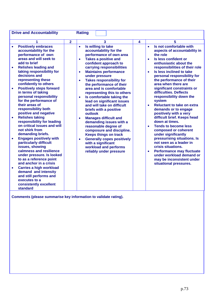| <b>Drive and Accountability</b>                                                                                                                                                                                                                                                                                                                          |                | <b>Rating</b>                                                                                                                                                                                                                                                                                                                                              |   |                                                                                                                                                                                                                                                                                                                              |
|----------------------------------------------------------------------------------------------------------------------------------------------------------------------------------------------------------------------------------------------------------------------------------------------------------------------------------------------------------|----------------|------------------------------------------------------------------------------------------------------------------------------------------------------------------------------------------------------------------------------------------------------------------------------------------------------------------------------------------------------------|---|------------------------------------------------------------------------------------------------------------------------------------------------------------------------------------------------------------------------------------------------------------------------------------------------------------------------------|
| 1<br><b>Positively embraces</b><br>$\bullet$<br>accountability for the<br>performance of own<br>areas and will seek to<br>add to brief<br><b>Relishes leading and</b><br>taking responsibility for<br>decisions and<br>representing these                                                                                                                | $\overline{2}$ | 3<br>Is willing to take<br>$\bullet$<br>accountability for the<br>performance of own area<br><b>Takes a positive and</b><br>$\bullet$<br>confident approach to<br>carrying responsibilities<br><b>Maintains performance</b><br>$\bullet$<br>under pressure<br><b>Takes responsibility for</b><br>$\bullet$                                                 | 4 | 5<br>Is not comfortable with<br>$\bullet$<br>aspects of accountability in<br>the role<br>Is less confident or<br>$\bullet$<br>enthusiastic about the<br>responsibilities of their role<br>Is less inclined to take<br>$\bullet$<br>personal responsibility for<br>the performance of their                                   |
| confidently to others<br><b>Positively steps forward</b><br>$\bullet$<br>in terms of taking<br>personal responsibility<br>for the performance of<br>their areas of<br>responsibility both<br>positive and negative<br><b>Relishes taking</b><br>$\bullet$<br>responsibility for leading<br>on critical issues and will<br>not shirk from                 |                | the performance of their<br>area and is comfortable<br>representing this to others<br>Is comfortable taking the<br>$\bullet$<br>lead on significant issues<br>and will take on difficult<br>briefs with a positive<br>outlook<br><b>Manages difficult and</b><br>$\bullet$<br>demanding issues with a<br>reasonable degree of<br>composure and discipline. |   | area when there are<br>significant constraints or<br>difficulties. Deflects<br>responsibility down the<br>system<br><b>Reluctant to take on extra</b><br>$\bullet$<br>demands or to engage<br>positively with a very<br>difficult brief. Keeps head<br>down at times.<br><b>Tends to become less</b><br>composed or coherent |
| demanding briefs.<br><b>Engages positively with</b><br>particularly difficult<br>issues, showing<br>calmness and resilience<br>under pressure. Is looked<br>to as a reference point<br>and anchor in a crisis<br><b>Carries a high workload</b><br>demand and intensity<br>and still performs and<br>executes to a<br>consistently excellent<br>standard |                | <b>Keeps things on track</b><br><b>Generally copes positively</b><br>$\bullet$<br>with a significant<br>workload and performs<br>reliably under pressure                                                                                                                                                                                                   |   | under significantly<br>pressurising situations. Is<br>not seen as a leader in<br>crisis situations.<br><b>Performance may fluctuate</b><br>$\bullet$<br>under workload demand or<br>may be inconsistent under<br>situational pressures.                                                                                      |

**Comments (please summarise key information to validate rating).**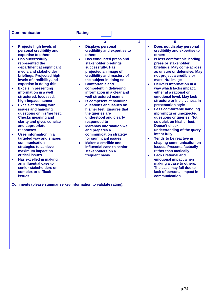|           | <b>Communication</b><br><b>Rating</b>                                                                                                                                                 |                |                                                                                                                                                                                                             |   |                                                                                                                                                                                                                                |  |
|-----------|---------------------------------------------------------------------------------------------------------------------------------------------------------------------------------------|----------------|-------------------------------------------------------------------------------------------------------------------------------------------------------------------------------------------------------------|---|--------------------------------------------------------------------------------------------------------------------------------------------------------------------------------------------------------------------------------|--|
|           | 1                                                                                                                                                                                     | $\overline{2}$ | 3                                                                                                                                                                                                           | 4 | 5                                                                                                                                                                                                                              |  |
| $\bullet$ | Projects high levels of<br>personal credibility and<br>expertise to others                                                                                                            |                | <b>Displays personal</b><br>$\bullet$<br>credibility and expertise to<br>others                                                                                                                             |   | Does not display personal<br>$\bullet$<br>credibility and expertise to<br>others                                                                                                                                               |  |
|           | <b>Has successfully</b><br>represented the<br>department at significant<br>media and stakeholder<br>briefings. Projected high<br>levels of credibility and<br>expertise in doing this |                | Has conducted press and<br>$\bullet$<br>stakeholder briefings<br>successfully. Has<br>projected an image of<br>credibility and mastery of<br>the subject in doing so<br><b>Comfortable and</b><br>$\bullet$ |   | Is less comfortable leading<br>$\bullet$<br>press or stakeholder<br>briefings. May come across<br>as unsure or defensive. May<br>not project a credible or<br>masterful image<br><b>Delivers information in a</b><br>$\bullet$ |  |
| $\bullet$ | <b>Excels in presenting</b><br>information in a well<br>structured, focussed,<br>high-impact manner<br><b>Excels at dealing with</b>                                                  |                | competent in delivering<br>information in a clear and<br>well structured manner<br>Is competent at handling<br>$\bullet$<br>questions and issues on                                                         |   | way which lacks impact,<br>either at a rational or<br>emotional level. May lack<br>structure or incisiveness in<br>presentation style                                                                                          |  |
|           | issues and handling<br>questions on his/her feet.<br><b>Checks meaning and</b><br>clarity and gives concise<br>and appropriate<br>responses                                           |                | his/her feet. Ensures that<br>the queries are<br>understood and clearly<br>responded to<br><b>Marshals information well</b><br>٠<br>and prepares a                                                          |   | <b>Less comfortable handling</b><br>$\bullet$<br>inpromptu or unexpected<br>questions or queries. Not<br>so quick on his/her feet.<br><b>Doesn't check</b><br>understanding of the query                                       |  |
|           | Uses information in a<br>targeted way and shapes<br>communication<br>strategies to achieve<br>maximum impact on<br><b>critical issues</b>                                             |                | communication strategy<br>for significant issues<br><b>Makes a credible and</b><br>$\bullet$<br>influential case to senior<br>stakeholders on a                                                             |   | intent fully<br>Tends to be reactive in<br>shaping communication on<br>issues. Presents factually<br>rather than tactically<br><b>Lacks rational and</b><br>$\bullet$                                                          |  |
| $\bullet$ | <b>Has excelled in making</b><br>an influential case to<br>senior stakeholders on<br>complex or difficult<br><b>issues</b>                                                            |                | frequent basis                                                                                                                                                                                              |   | emotional impact when<br>making a case to others.<br>The case may fail due to<br>lack of personal impact in<br>communication                                                                                                   |  |

**Comments (please summarise key information to validate rating).**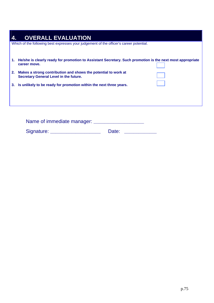| 1. | He/she is clearly ready for promotion to Assistant Secretary. Such promotion is the next most appropriate<br>career move. |
|----|---------------------------------------------------------------------------------------------------------------------------|
| 2. | Makes a strong contribution and shows the potential to work at<br><b>Secretary General Level in the future.</b>           |
| 3. | Is unlikely to be ready for promotion within the next three years.                                                        |

| Name of immediate manager: |       |  |
|----------------------------|-------|--|
| Signature:                 | Date: |  |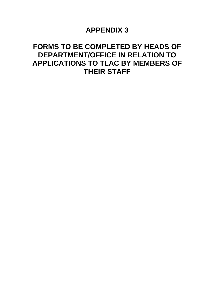### **APPENDIX 3**

### **FORMS TO BE COMPLETED BY HEADS OF DEPARTMENT/OFFICE IN RELATION TO APPLICATIONS TO TLAC BY MEMBERS OF THEIR STAFF**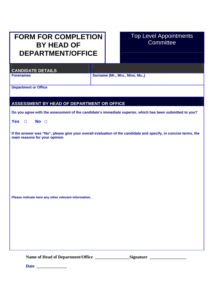## **FORM FOR COMPLETION BY HEAD OF DEPARTMENT/OFFICE**

### Top Level Appointments **Committee**

**CANDIDATE DETAILS** 

**Forenames Forenames Surname (Mr., Mrs., Miss, Ms.,) Surname (Mr., Mrs., Miss, Ms.,)** 

**Department or Office** 

#### **ASSESSMENT BY HEAD OF DEPARTMENT OR OFFICE**

**Do you agree with the assessment of the candidate's immediate superior, which has been submitted to you?** 

**Yes No** 

**If the answer was "No", please give your overall evaluation of the candidate and specify, in concise terms, the main reasons for your opinion** 

**Please indicate here any other relevant information.** 

Name of Head of Department/Office \_\_\_\_\_\_\_\_\_\_\_\_\_\_\_\_\_Signature \_\_\_\_\_\_\_\_\_\_\_\_\_\_\_\_\_\_\_

**Date \_\_\_\_\_\_\_\_\_\_\_\_\_\_**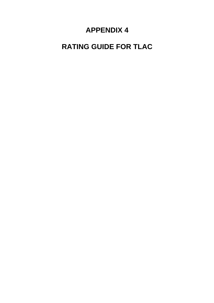## **APPENDIX 4**

# **RATING GUIDE FOR TLAC**